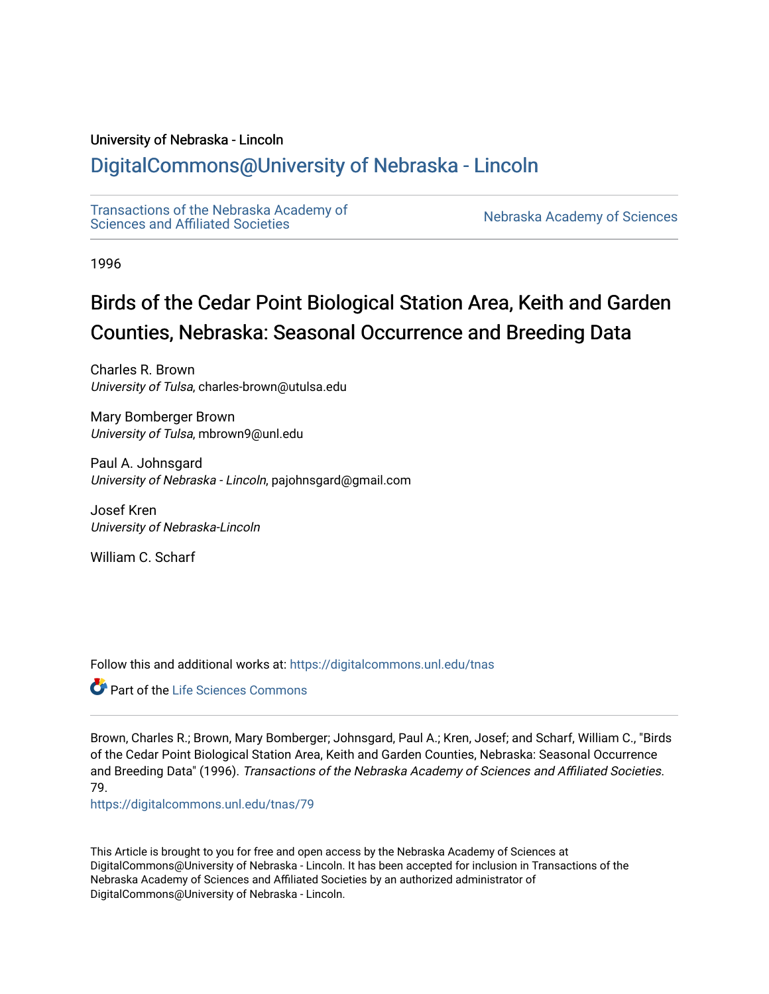## University of Nebraska - Lincoln

## [DigitalCommons@University of Nebraska - Lincoln](https://digitalcommons.unl.edu/)

[Transactions of the Nebraska Academy of](https://digitalcommons.unl.edu/tnas)  Transactions of the Nebraska Academy of Sciences<br>Sciences and Affiliated Societies

1996

# Birds of the Cedar Point Biological Station Area, Keith and Garden Counties, Nebraska: Seasonal Occurrence and Breeding Data

Charles R. Brown University of Tulsa, charles-brown@utulsa.edu

Mary Bomberger Brown University of Tulsa, mbrown9@unl.edu

Paul A. Johnsgard University of Nebraska - Lincoln, pajohnsgard@gmail.com

Josef Kren University of Nebraska-Lincoln

William C. Scharf

Follow this and additional works at: [https://digitalcommons.unl.edu/tnas](https://digitalcommons.unl.edu/tnas?utm_source=digitalcommons.unl.edu%2Ftnas%2F79&utm_medium=PDF&utm_campaign=PDFCoverPages) 

Part of the [Life Sciences Commons](http://network.bepress.com/hgg/discipline/1016?utm_source=digitalcommons.unl.edu%2Ftnas%2F79&utm_medium=PDF&utm_campaign=PDFCoverPages) 

Brown, Charles R.; Brown, Mary Bomberger; Johnsgard, Paul A.; Kren, Josef; and Scharf, William C., "Birds of the Cedar Point Biological Station Area, Keith and Garden Counties, Nebraska: Seasonal Occurrence and Breeding Data" (1996). Transactions of the Nebraska Academy of Sciences and Affiliated Societies. 79.

[https://digitalcommons.unl.edu/tnas/79](https://digitalcommons.unl.edu/tnas/79?utm_source=digitalcommons.unl.edu%2Ftnas%2F79&utm_medium=PDF&utm_campaign=PDFCoverPages)

This Article is brought to you for free and open access by the Nebraska Academy of Sciences at DigitalCommons@University of Nebraska - Lincoln. It has been accepted for inclusion in Transactions of the Nebraska Academy of Sciences and Affiliated Societies by an authorized administrator of DigitalCommons@University of Nebraska - Lincoln.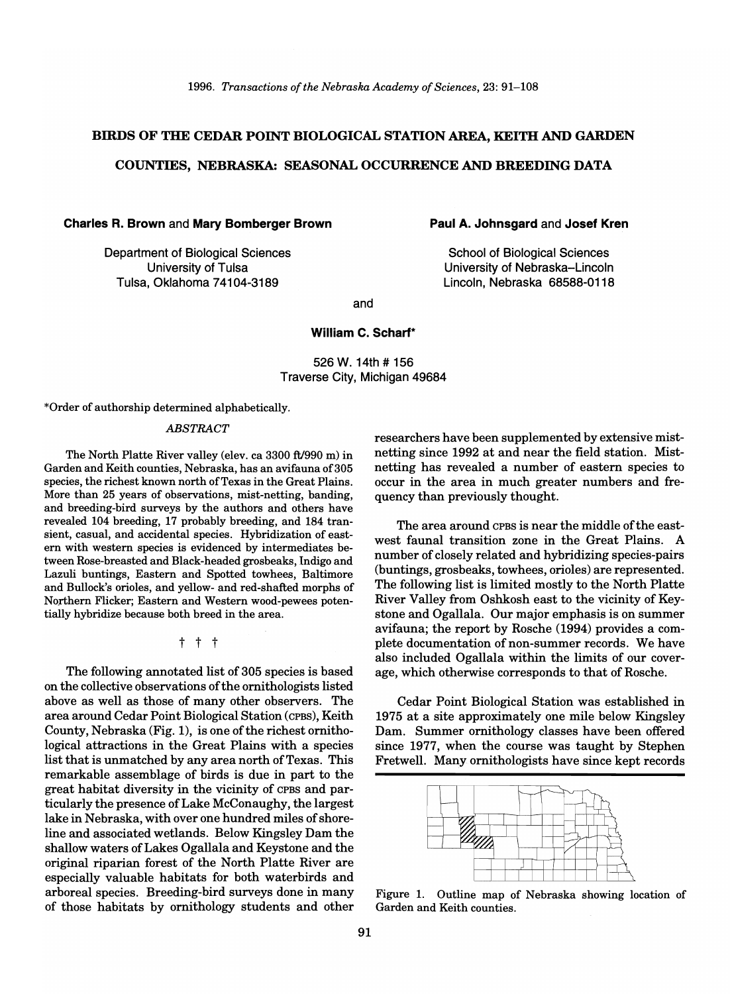## BIRDS OF THE CEDAR POINT BIOLOGICAL STATION AREA, KEITH AND GARDEN

## COUNTIES, NEBRASKA: SEASONAL OCCURRENCE AND BREEDING DATA

Charles R. Brown and Mary Bomberger Brown

Department of Biological Sciences University of Tulsa Tulsa, Oklahoma 74104-3189

Paul A. Johnsgard and Josef Kren

School of Biological Sciences University of Nebraska-Lincoln Lincoln, Nebraska 68588-0118

and

## William C. Scharf\*

526 W. 14th # 156 Traverse City, Michigan 49684

\*Order of authorship determined alphabetically.

#### *ABSTRACT*

The North Platte River valley (elev. ca 3300 ft/990 m) in Garden and Keith counties, Nebraska, has an avifauna of 305 species, the richest known north of Texas in the Great Plains. More than 25 years of observations, mist-netting, banding, and breeding-bird surveys by the authors and others have revealed 104 breeding, 17 probably breeding, and 184 transient, casual, and accidental species. Hybridization of eastern with western species is evidenced by intermediates between Rose-breasted and Black-headed grosbeaks, Indigo and Lazuli buntings, Eastern and Spotted towhees, Baltimore and Bullock's orioles, and yellow- and red-shafted morphs of Northern Flicker; Eastern and Western wood-pewees potentially hybridize because both breed in the area.

t t t

The following annotated list of 305 species is based on the collective observations of the ornithologists listed above as well as those of many other observers. The area around Cedar Point Biological Station (CPBs), Keith County, Nebraska (Fig. 1), is one of the richest ornithological attractions in the Great Plains with a species list that is unmatched by any area north of Texas. This remarkable assemblage of birds is due in part to the great habitat diversity in the vicinity of CPBS and particularly the presence of Lake McConaughy, the largest lake in Nebraska, with over one hundred miles of shoreline and associated wetlands. Below Kingsley Dam the shallow waters of Lakes Ogallala and Keystone and the original riparian forest of the North Platte River are especially valuable habitats for both waterbirds and arboreal species. Breeding-bird surveys done in many of those habitats by ornithology students and other researchers have been supplemented by extensive mistnetting since 1992 at and near the field station. Mistnetting has revealed a number of eastern species to occur in the area in much greater numbers and frequency than previously thought.

The area around CPBS is near the middle of the eastwest faunal transition zone in the Great Plains. A number of closely related and hybridizing species-pairs (buntings, grosbeaks, towhees, orioles) are represented. The following list is limited mostly to the North Platte River Valley from Oshkosh east to the vicinity of Keystone and Ogallala. Our major emphasis is on summer avifauna; the report by Rosche (1994) provides a complete documentation of non-summer records. We have also included Ogallala within the limits of our coverage, which otherwise corresponds to that of Rosche.

Cedar Point Biological Station was established in 1975 at a site approximately one mile below Kingsley Dam. Summer ornithology classes have been offered since 1977, when the course was taught by Stephen Fretwell. Many ornithologists have since kept records



Figure 1. Outline map of Nebraska showing location of Garden and Keith counties.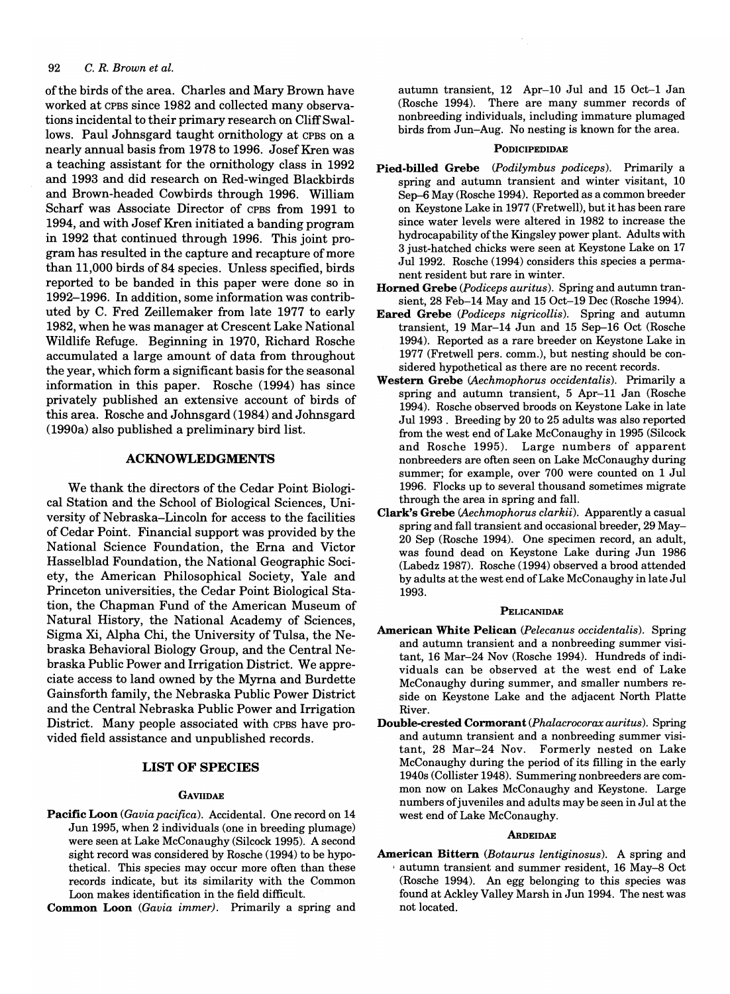of the birds of the area. Charles and Mary Brown have worked at CPBS since 1982 and collected many observations incidental to their primary research on Cliff Swallows. Paul Johnsgard taught ornithology at CPBS on a nearly annual basis from 1978 to 1996. Josef Kren was a teaching assistant for the ornithology class in 1992 and 1993 and did research on Red-winged Blackbirds and Brown-headed Cowbirds through 1996. William Scharf was Associate Director of CPBS from 1991 to 1994, and with Josef Kren initiated a banding program in 1992 that continued through 1996. This joint program has resulted in the capture and recapture of more than 11,000 birds of 84 species. Unless specified, birds reported to be banded in this paper were done so in 1992-1996. In addition, some information was contributed by C. Fred Zeillemaker from late 1977 to early 1982, when he was manager at Crescent Lake National Wildlife Refuge. Beginning in 1970, Richard Rosche accumulated a large amount of data from throughout the year, which form a significant basis for the seasonal information in this paper. Rosche (1994) has since privately published an extensive account of birds of this area. Rosche and Johnsgard (1984) and Johnsgard (1990a) also published a preliminary bird list.

## ACKNOWLEDGMENTS

We thank the directors of the Cedar Point Biological Station and the School of Biological Sciences, University of Nebraska-Lincoln for access to the facilities of Cedar Point. Financial support was provided by the National Science Foundation, the Erna and Victor Hasselblad Foundation, the National Geographic Society, the American Philosophical Society, Yale and Princeton universities, the Cedar Point Biological Station, the Chapman Fund of the American Museum of Natural History, the National Academy of Sciences, Sigma Xi, Alpha Chi, the University of Tulsa, the Nebraska Behavioral Biology Group, and the Central Nebraska Public Power and Irrigation District. We appreciate access to land owned by the Myrna and Burdette Gainsforth family, the Nebraska Public Power District and the Central Nebraska Public Power and Irrigation District. Many people associated with CPBS have provided field assistance and unpublished records.

## LIST OF SPECIES

## **GAVIIDAE**

Pacific Loon (Gavia pacifica). Accidental. One record on 14 Jun 1995, when 2 individuals (one in breeding plumage) were seen at Lake McConaughy (Silcock 1995). A second sight record was considered by Rosche (1994) to be hypothetical. This species may occur more often than these records indicate, but its similarity with the Common Loon makes identification in the field difficult.

Common Loon *(Gavia immer).* Primarily a spring and

autumn transient, 12 Apr-l0 Jul and 15 Oct-l Jan (Rosche 1994). There are many summer records of nonbreeding individuals, including immature plumaged birds from Jun-Aug. No nesting is known for the area.

#### **PODICIPEDIDAE**

- Pied-billed Grebe *(Podilymbus podiceps).* Primarily a spring and autumn transient and winter visitant, 10 Sep-6 May (Rosche 1994). Reported as a common breeder on Keystone Lake in 1977 (Fretwell), but it has been rare since water levels were altered in 1982 to increase the hydrocapability of the Kingsley power plant. Adults with 3 just-hatched chicks were seen at Keystone Lake on 17 Ju11992. Rosche (1994) considers this species a permanent resident but rare in winter.
- Horned Grebe *(Podiceps auritus).* Spring and autumn transient, 28 Feb-14 May and 15 Oct-19 Dec (Rosche 1994).
- Eared Grebe *(Podiceps nigricollis).* Spring and autumn transient, 19 Mar-14 Jun and 15 Sep-16 Oct (Rosche 1994). Reported as a rare breeder on Keystone Lake in 1977 (Fretwell pers. comm.), but nesting should be considered hypothetical as there are no recent records.
- Western Grebe *CAechmophorus occidentalis).* Primarily a spring and autumn transient, 5 Apr-ll Jan (Rosche 1994). Rosche observed broods on Keystone Lake in late Ju11993. Breeding by 20 to 25 adults was also reported from the west end of Lake McConaughy in 1995 (Silcock and Rosche 1995). Large numbers of apparent nonbreeders are often seen on Lake McConaughy during summer; for example, over 700 were counted on 1 Jul 1996. Flocks up to several thousand sometimes migrate through the area in spring and fall.
- Clark's Grebe *CAechmophorus clarkii).* Apparently a casual spring and fall transient and occasional breeder, 29 May-20 Sep (Rosche 1994). One specimen record, an adult, was found dead on Keystone Lake during Jun 1986 (Labedz 1987). Rosche (1994) observed a brood attended by adults at the west end of Lake McConaughy in late Jul 1993.

#### PELICANIDAE

- American White Pelican *(Pelecanus occidentalis).* Spring and autumn transient and a nonbreeding summer visitant, 16 Mar-24 Nov (Rosche 1994). Hundreds of individuals can be observed at the west end of Lake McConaughy during summer, and smaller numbers reside on Keystone Lake and the adjacent North Platte River.
- Double-crested Cormorant *(Phalacrocorax auritus).* Spring and autumn transient and a nonbreeding summer visitant, 28 Mar-24 Nov. Formerly nested on Lake McConaughy during the period of its filling in the early 1940s (Collister 1948). Summering nonbreeders are common now on Lakes McConaughy and Keystone. Large numbers of juveniles and adults may be seen in Jul at the west end of Lake McConaughy.

#### **ARDEIDAE**

American Bittern *(Botaurus Ientiginosus).* A spring and , autumn transient and summer resident, 16 May-8 Oct (Rosche 1994). An egg belonging to this species was found at Ackley Valley Marsh in Jun 1994. The nest was not located.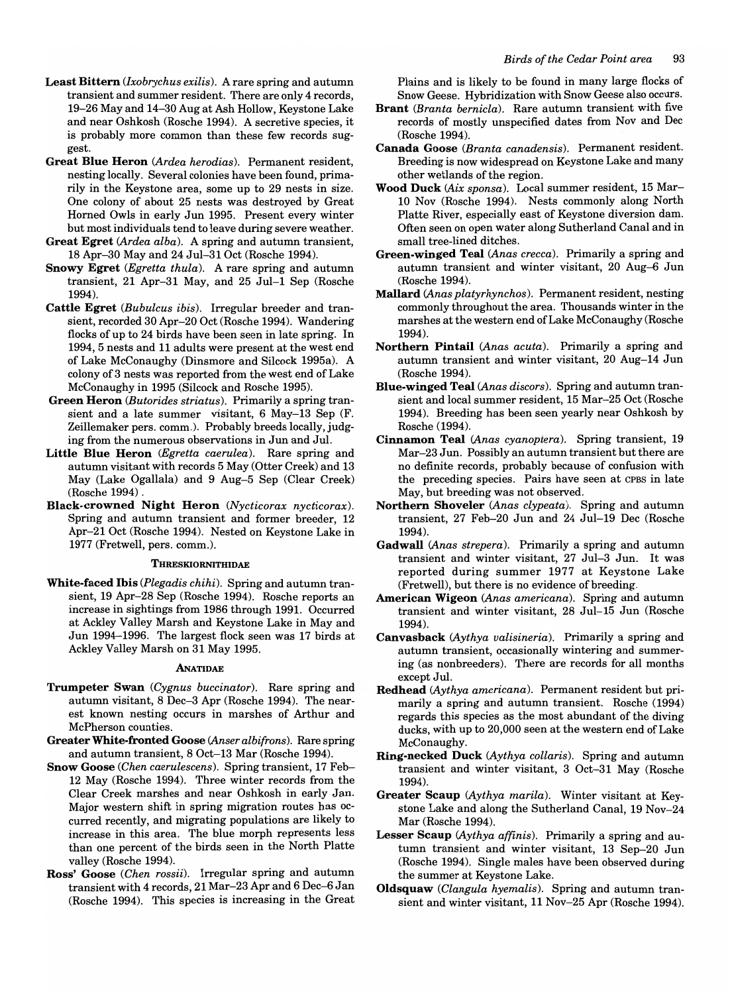- Least Bittern *(lxobrychus exilis).* A rare spring and autumn transient and summer resident. There are only 4 records, 19-26 May and 14-30 Aug at Ash Hollow, Keystone Lake and near Oshkosh (Rosche 1994). A secretive species, it is probably more common than these few records suggest.
- Great Blue Heron *(Ardea herodias).* Permanent resident, nesting locally. Several colonies have been found, primarily in the Keystone area, some up to 29 nests in size. One colony of about 25 nests was destroyed by Great Horned Owls in early Jun 1995. Present every winter but most individuals tend to leave during severe weather.
- Great Egret *(Ardea alba).* A spring and autumn transient, 18 Apr-30 May and 24 Jul-31 Oct (Rosche 1994).
- Snowy Egret *(Egretta thula).* A rare spring and autumn transient, 21 Apr-31 May, and 25 Jul-1 Sep (Rosche 1994).
- Cattle Egret *(Bubulcus ibis).* Irregular breeder and transient, recorded 30 Apr-20 Oct (Rosche 1994). Wandering flocks of up to 24 birds have been seen in late spring. In 1994, 5 nests and 11 adults were present at the west end of Lake McConaughy (Dinsmore and Silcock 1995a). A colony of3 nests was reported from the west end of Lake McConaughy in 1995 (Silcock and Rosche 1995).
- Green Heron *(Butorides striatus).* Primarily a spring transient and a late summer visitant, 6 May-13 Sep (F. Zeillemaker pers. comm.). Probably breeds locally, judging from the numerous observations in Jun and Jul.
- Little Blue Heron *(Egretta caerulea).* Rare spring and autumn visitant with records 5 May (Otter Creek) and 13 May (Lake Ogallala) and 9 Aug-5 Sep (Clear Creek) (Rosche 1994)
- Black-crowned Night Heron *(Nycticorax nycticorax).*  Spring and autumn transient and former breeder, 12 Apr-21 Oct (Rosche 1994). Nested on Keystone Lake in 1977 (Fretwell, pers. comm.).

#### THRESKIORNITHIDAE

White-faced Ibis *(Plegadis chihi).* Spring and autumn transient, 19 Apr-28 Sep (Rosche 1994). Rosche reports an increase in sightings from 1986 through 1991. Occurred at Ackley Valley Marsh and Keystone Lake in May and Jun 1994-1996. The largest flock seen was 17 birds at Ackley Valley Marsh on 31 May 1995.

#### ANATIDAE

- Trumpeter Swan *(Cygnus buccinator).* Rare spring and autumn visitant, 8 Dec-3 Apr (Rosche 1994). The nearest known nesting occurs in marshes of Arthur and McPherson counties.
- Greater White-fronted Goose *(Anser albifrons).* Rare spring and autumn transient, 8 Oct-13 Mar (Rosche 1994).
- Snow Goose *(Chen caerulescens).* Spring transient, 17 Feb-12 May (Rosche 1994). Three winter records from the Clear Creek marshes and near Oshkosh in early Jan. Major western shift in spring migration routes has occurred recently, and migrating populations are likely to increase in this area. The blue morph represents less than one percent of the birds seen in the North Platte valley (Rosche 1994).
- Ross' Goose *(Chen rossii).* Irregular spring and autumn transient with 4 records, 21 Mar-23 Apr and 6 Dec-6 Jan (Rosche 1994). This species is increasing in the Great

Plains and is likely to be found in many large flocks of Snow Geese. Hybridization with Snow Geese also occurs.

- Brant *(Branta bernicla).* Rare autumn transient with five records of mostly unspecified dates from Nov and Dec (Rosche 1994).
- Canada Goose *(Branta canadensis).* Permanent resident. Breeding is now widespread on Keystone Lake and many other wetlands of the region.
- Wood Duck *(Aix sponsa).* Local summer resident, 15 MarlO Nov (Rosche 1994). Nests commonly along North Platte River, especially east of Keystone diversion dam. Often seen on open water along Sutherland Canal and in small tree-lined ditches.
- Green-winged Teal *(Anas crecca).* Primarily a spring and autumn transient and winter visitant, 20 Aug-6 Jun (Rosche 1994).
- Mallard *(Anas platyrhynchos).* Permanent resident, nesting commonly throughout the area. Thousands winter in the marshes at the western end of Lake McConaughy (Rosche 1994).
- Northern Pintail *(Anas acuta).* Primarily a spring and autumn transient and winter visitant, 20 Aug-14 Jun (Rosche 1994).
- Blue-winged Teal *(Anas discors).* Spring and autumn transient and local summer resident, 15 Mar-25 Oct (Rosche 1994). Breeding has been seen yearly near Oshkosh by Rosche (1994).
- Cinnamon Teal *(Anas cyanoptera).* Spring transient, 19 Mar-23 Jun. Possibly an autumn transient but there are no definite records, probably because of confusion with the preceding species. Pairs have seen at CPBS in late May, but breeding was not observed.
- Northern Shoveler *(Anas clypeata).* Spring and autumn transient, 27 Feb-20 Jun and 24 Jul-19 Dec (Rosche 1994).
- Gadwall *(Anas strepera).* Primarily a spring and autumn transient and winter visitant, 27 Jul-3 Jun. It was reported during summer 1977 at Keystone Lake (Fretwell), but there is no evidence of breeding.
- American Wigeon *(Anas americana).* Spring and autumn transient and winter visitant, 28 Jul-15 Jun (Rosche 1994).
- Canvasback *(Aythya valisineria).* Primarily a spring and autumn transient, occasionally wintering and summering (as nonbreeders). There are records for all months except Jul.
- Redhead *(Aythya americana).* Permanent resident but primarily a spring and autumn transient. Rosche (1994) regards this species as the most abundant of the diving ducks, with up to 20,000 seen at the western end of Lake McConaughy.
- Ring-necked Duck *(Aythya collaris).* Spring and autumn transient and winter visitant, 3 Oct-31 May (Rosche 1994).
- Greater Scaup *(Aythya marila).* Winter visitant at Keystone Lake and along the Sutherland Canal, 19 Nov-24 Mar (Rosche 1994).
- Lesser Scaup *(Aythya affinis).* Primarily a spring and autumn transient and winter visitant, 13 Sep-20 Jun (Rosche 1994). Single males have been observed during the summer at Keystone Lake.
- Oldsquaw *(Clangula hyemalis).* Spring and autumn transient and winter visitant, 11 Nov-25 Apr (Rosche 1994).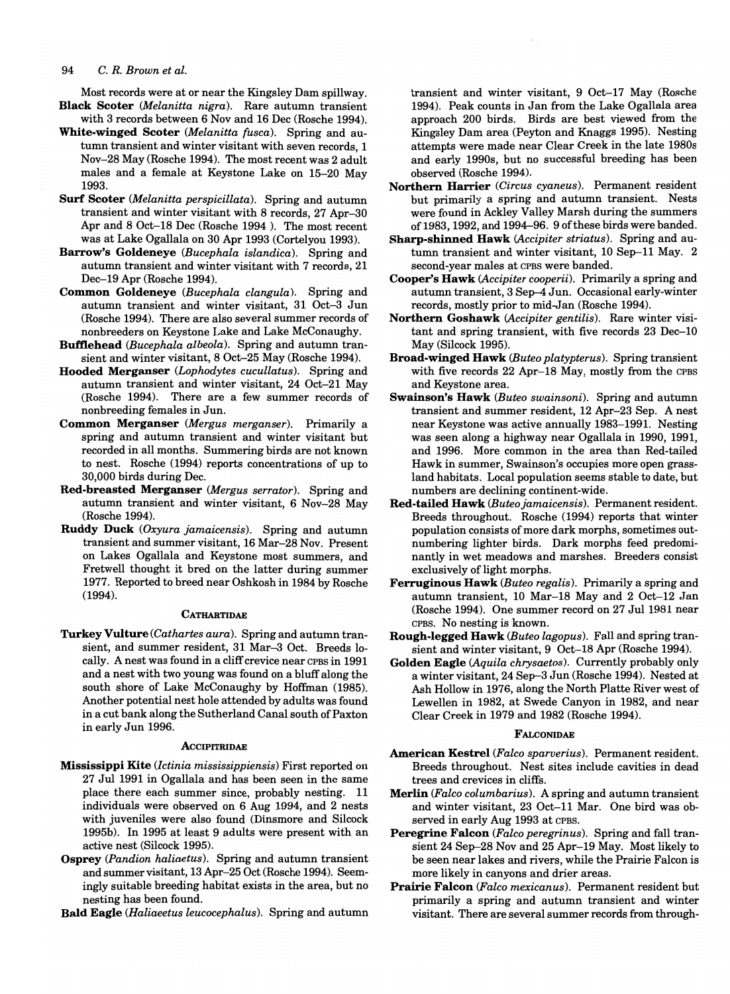Most records were at or near the Kingsley Dam spillway. Black Scoter *(Melanitta nigra).* Rare autumn transient

- with 3 records between 6 Nov and 16 Dec (Rosche 1994). White-winged Scoter *(Melanitta fusca).* Spring and autumn transient and winter visitant with seven records, 1 Nov-28 May (Rosche 1994). The most recent was 2 adult males and a female at Keystone Lake on 15-20 May 1993.
- Surf Scoter *(Melanitta perspicillata).* Spring and autumn transient and winter visitant with 8 records, 27 Apr-30 Apr and 8 Oct-18 Dec (Rosche 1994). The most recent was at Lake Ogallala on 30 Apr 1993 (Cortelyou 1993).
- Barrow's Goldeneye *(Bucephala islandica).* Spring and autumn transient and winter visitant with 7 records, 21 Dec-19 Apr (Rosche 1994).
- Common Goldeneye *(Bucephala clangula).* Spring and autumn transient and winter visitant, 31 Oct-3 Jun (Rosche 1994). There are also several summer records of nonbreeders on Keystone Lake and Lake McConaughy.
- Bufflehead *(Bucephala albeola).* Spring and autumn transient and winter visitant, 8 Oct-25 May (Rosche 1994).
- Hooded Merganser *(Lophodytes cucullatus).* Spring and autumn transient and winter visitant, 24 Oct-21 May (Rosche 1994). There are a few summer records of nonbreeding females in Jun.
- Common Merganser *(Mergus merganser)*. Primarily a spring and autumn transient and winter visitant but recorded in all months. Summering birds are not known to nest. Rosche (1994) reports concentrations of up to 30,000 birds during Dec.
- Red-breasted Merganser *(Mergus serrator).* Spring and autumn transient and winter visitant, 6 Nov-28 May (Rosche 1994).
- Ruddy Duck *(Oxyura jamaicensis).* Spring and autumn transient and summer visitant, 16 Mar-28 Nov. Present on Lakes Ogallala and Keystone most summers, and Fretwell thought it bred on the latter during summer 1977. Reported to breed near Oshkosh in 1984 by Rosche (1994).

#### **CATHARTIDAE**

Turkey Vulture *(Cathartes aura).* Spring and autumn transient, and summer resident, 31 Mar-3 Oct. Breeds locally. A nest was found in a cliff crevice near CPBS in 1991 and a nest with two young was found on a bluff along the south shore of Lake McConaughy by Hoffman (1985). Another potential nest hole attended by adults was found in a cut bank along the Sutherland Canal south of Paxton in early Jun 1996.

#### **ACCIPITRIDAE**

- Mississippi Kite *(lctinia mississippiensis)* First reported on 27 Jul 1991 in Ogallala and has been seen in the same place there each summer since, probably nesting. 11 individuals were observed on 6 Aug 1994, and 2 nests with juveniles were also found (Dinsmore and Silcock 1995b). In 1995 at least 9 adults were present with an active nest (Silcock 1995).
- Osprey *(Pandion haliaetus).* Spring and autumn transient and summer visitant, 13 Apr-25 Oct (Rosche 1994). Seemingly suitable breeding habitat exists in the area, but no nesting has been found.
- Bald Eagle *(Haliaeetus leucocephalus).* Spring and autumn

transient and winter visitant, 9 Oct-17 May (Rosche 1994). Peak counts in Jan from the Lake Ogallala area approach 200 birds. Birds are best viewed from the Kingsley Dam area (Peyton and Knaggs 1995). Nesting attempts were made near Clear Creek in the late 1980s and early 1990s, but no successful breeding has been observed (Rosche 1994).

- Northern Harrier *(Circus cyaneus).* Permanent resident but primarily a spring and autumn transient. Nests were found in Ackley Valley Marsh during the summers of 1983, 1992, and 1994-96. 9 of these birds were banded.
- Sharp-shinned Hawk *(Accipiter striatus).* Spring and autumn transient and winter visitant, 10 Sep-ll May. 2 second-year males at CPBS were banded.
- Cooper's Hawk *(Accipiter cooperii).* Primarily a spring and autumn transient, 3 Sep-4 Jun. Occasional early-winter records, mostly prior to mid-Jan (Rosche 1994).
- Northern Goshawk *(Accipiter gentilis).* Rare winter visitant and spring transient, with five records 23 Dec-l0 May (Silcock 1995).
- Broad-winged Hawk *(Buteo platypterus).* Spring transient with five records 22 Apr-18 May, mostly from the CPBS and Keystone area.
- Swainson's Hawk *(Buteo swainsoni).* Spring and autumn transient and summer resident, 12 Apr-23 Sep. A nest near Keystone was active annually 1983-1991. Nesting was seen along a highway near Ogallala in 1990, 1991, and 1996. More common in the area than Red-tailed Hawk in summer, Swainson's occupies more open grassland habitats. Local population seems stable to date, but numbers are declining continent-wide.
- Red-tailed Hawk *(Buteojamaicensis).* Permanent resident. Breeds throughout. Rosche (1994) reports that winter population consists of more dark morphs, sometimes outnumbering lighter birds. Dark morphs feed predominantly in wet meadows and marshes. Breeders consist exclusively of light morphs.
- Ferruginous Hawk *(Buteo regalis).* Primarily a spring and autumn transient, 10 Mar-18 May and 2 Oct-12 Jan (Rosche 1994). One summer record on 27 Jul 1981 near CPBS. No nesting is known.
- Rough-legged Hawk *(Buteo lagopus).* Fall and spring transient and winter visitant, 9 Oct-18 Apr (Rosche 1994).
- Golden Eagle *(Aquila chrysaetos).* Currently probably only a winter visitant, 24 Sep-3 Jun (Rosche 1994). Nested at Ash Hollow in 1976, along the North Platte River west of Lewellen in 1982, at Swede Canyon in 1982, and near Clear Creek in 1979 and 1982 (Rosche 1994).

#### FALCONIDAE

- American Kestrel *(Falco sparuerius).* Permanent resident. Breeds throughout. Nest sites include cavities in dead trees and crevices in cliffs.
- Merlin *(Falco columbarius).* A spring and autumn transient and winter visitant, 23 Oct-11 Mar. One bird was observed in early Aug 1993 at CPBS.
- Peregrine Falcon *(Falco peregrinus).* Spring and fall transient 24 Sep-28 Nov and 25 Apr-19 May. Most likely to be seen near lakes and rivers, while the Prairie Falcon is more likely in canyons and drier areas.
- Prairie Falcon *(Falco mexicanus).* Permanent resident but primarily a spring and autumn transient and winter visitant. There are several summer records from through-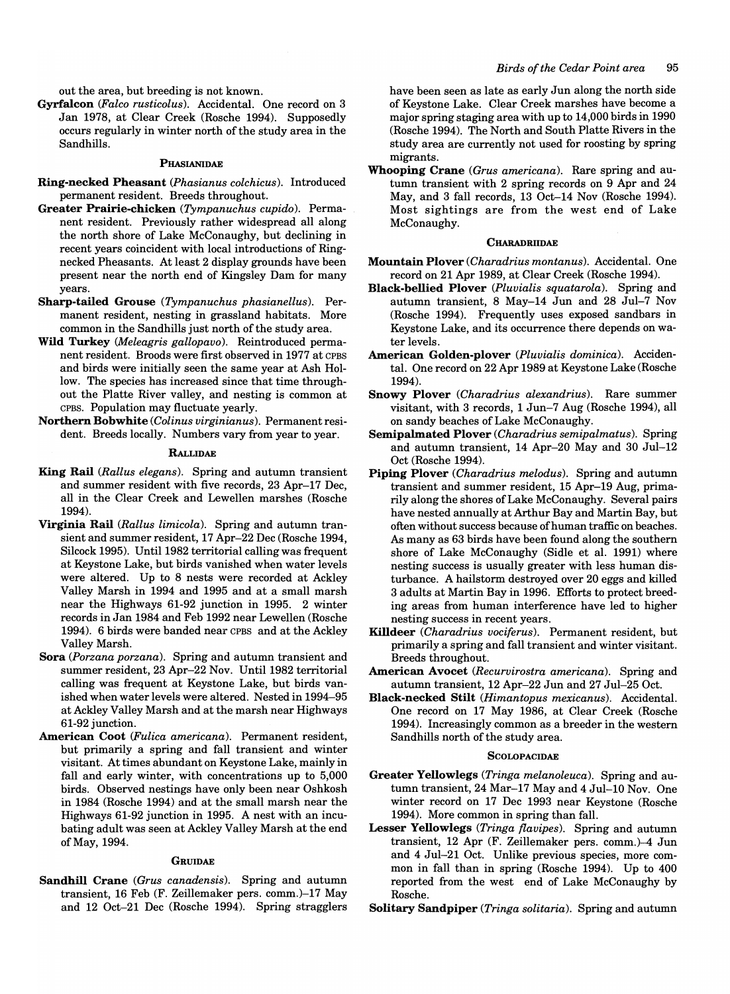out the area, but breeding is not known.

Gyrfalcon *(Falco rusticolus).* Accidental. One record on 3 Jan 1978, at Clear Creek (Rosche 1994). Supposedly occurs regularly in winter north of the study area in the Sandhills.

#### PHASIANIDAE

- Ring-necked Pheasant *(Phasianus colchicus).* Introduced permanent resident. Breeds throughout.
- Greater Prairie-chicken *(Tympanuchus cupido).* Permanent resident. Previously rather widespread all along the north shore of Lake McConaughy, but declining in recent years coincident with local introductions of Ringnecked Pheasants. At least 2 display grounds have been present near the north end of Kingsley Dam for many years.
- Sharp-tailed Grouse *(Tympanuchus phasianellus).* Permanent resident, nesting in grassland habitats. More common in the Sandhills just north of the study area.
- Wild Turkey *(Meleagris gallopavo).* Reintroduced permanent resident. Broods were first observed in 1977 at CPBS and birds were initially seen the same year at Ash Hollow. The species has increased since that time throughout the Platte River valley, and nesting is common at CPBS. Population may fluctuate yearly.
- Northern Bobwhite *(Colinus virginianus).* Permanent resident. Breeds locally. Numbers vary from year to year.

#### **RALLIDAE**

- King Rail *(Rallus elegans).* Spring and autumn transient and summer resident with five records, 23 Apr-17 Dec, all in the Clear Creek and Lewellen marshes (Rosche 1994).
- Virginia Rail *(Rallus limicola).* Spring and autumn transient and summer resident, 17 Apr-22 Dec (Rosche 1994, Silcock 1995). Until 1982 territorial calling was frequent at Keystone Lake, but birds vanished when water levels were altered. Up to 8 nests were recorded at Ackley Valley Marsh in 1994 and 1995 and at a small marsh near the Highways 61-92 junction in 1995. 2 winter records in Jan 1984 and Feb 1992 near Lewellen (Rosche 1994). 6 birds were banded near CPBS and at the Ackley Valley Marsh.
- Sora *(Porzana porzana).* Spring and autumn transient and summer resident, 23 Apr-22 Nov. Until 1982 territorial calling was frequent at Keystone Lake, but birds vanished when water levels were altered. Nested in 1994-95 at Ackley Valley Marsh and at the marsh near Highways 61-92 junction.
- American Coot *(Fulica americana).* Permanent resident, but primarily a spring and fall transient and winter visitant. At times abundant on Keystone Lake, mainly in fall and early winter, with concentrations up to 5,000 birds. Observed nestings have only been near Oshkosh in 1984 (Rosche 1994) and at the small marsh near the Highways 61-92 junction in 1995. A nest with an incubating adult was seen at Ackley Valley Marsh at the end of May, 1994.

#### **GRUIDAE**

Sandhill Crane *(Grus canadensis).* Spring and autumn transient, 16 Feb (F. Zeillemaker pers. comm.)-17 May and 12 Oct-21 Dec (Rosche 1994). Spring stragglers have been seen as late as early Jun along the north side of Keystone Lake. Clear Creek marshes have become a major spring staging area with up to 14,000 birds in 1990 (Rosche 1994). The North and South Platte Rivers in the study area are currently not used for roosting by spring migrants.

Whooping Crane *(Grus americana).* Rare spring and autumn transient with 2 spring records on 9 Apr and 24 May, and 3 fall records, 13 Oct-14 Nov (Rosche 1994). Most sightings are from the west end of Lake McConaughy.

#### **CHARADRIIDAE**

- Mountain Plover *(Charadrius montanus).* Accidental. One record on 21 Apr 1989, at Clear Creek (Rosche 1994).
- Black-bellied Plover *(Pluvialis squatarola).* Spring and autumn transient, 8 May-14 Jun and 28 Jul-7 Nov (Rosche 1994). Frequently uses exposed sandbars in Keystone Lake, and its occurrence there depends on water levels.
- American Golden-plover *(Pluvialis dominica).* Accidental. One record on 22 Apr 1989 at Keystone Lake (Rosche 1994).
- Snowy Plover *(Charadrius alexandrius).* Rare summer visitant, with 3 records, 1 Jun-7 Aug (Rosche 1994), all on sandy beaches of Lake McConaughy.
- Semipalmated Plover *(Charadrius semipalmatus).* Spring and autumn transient, 14 Apr-20 May and 30 Jul-12 Oct (Rosche 1994).
- Piping Plover *(Charadrius melodus).* Spring and autumn transient and summer resident, 15 Apr-19 Aug, primarily along the shores of Lake McConaughy. Several pairs have nested annually at Arthur Bay and Martin Bay, but often without success because of human traffic on beaches. As many as 63 birds have been found along the southern shore of Lake McConaughy (Sidle et al. 1991) where nesting success is usually greater with less human disturbance. A hailstorm destroyed over 20 eggs and killed 3 adults at Martin Bay in 1996. Efforts to protect breeding areas from human interference have led to higher nesting success in recent years.
- Killdeer *(Charadrius vociferus).* Permanent resident, but primarily a spring and fall transient and winter visitant. Breeds throughout.
- American Avocet *(Recurvirostra americana).* Spring and autumn transient, 12 Apr-22 Jun and 27 Jul-25 Oct.
- Black-necked Stilt *(Himantopus mexicanus).* Accidental. One record on 17 May 1986, at Clear Creek (Rosche 1994). Increasingly common as a breeder in the western Sandhills north of the study area.

#### **SCOLOPACIDAE**

- Greater Yellowlegs *(Tringa melanoleuca).* Spring and autumn transient, 24 Mar-17 May and 4 Jul-l0 Nov. One winter record on 17 Dec 1993 near Keystone (Rosche 1994). More common in spring than fall.
- Lesser Yellowlegs (Tringa flavipes). Spring and autumn transient,  $12$  Apr (F. Zeillemaker pers. comm.)-4 Jun and 4 Jul-21 Oct. Unlike previous species, more common in fall than in spring (Rosche 1994). Up to 400 reported from the west end of Lake McConaughy by Rosche.
- Solitary Sandpiper *(Tringa solitaria).* Spring and autumn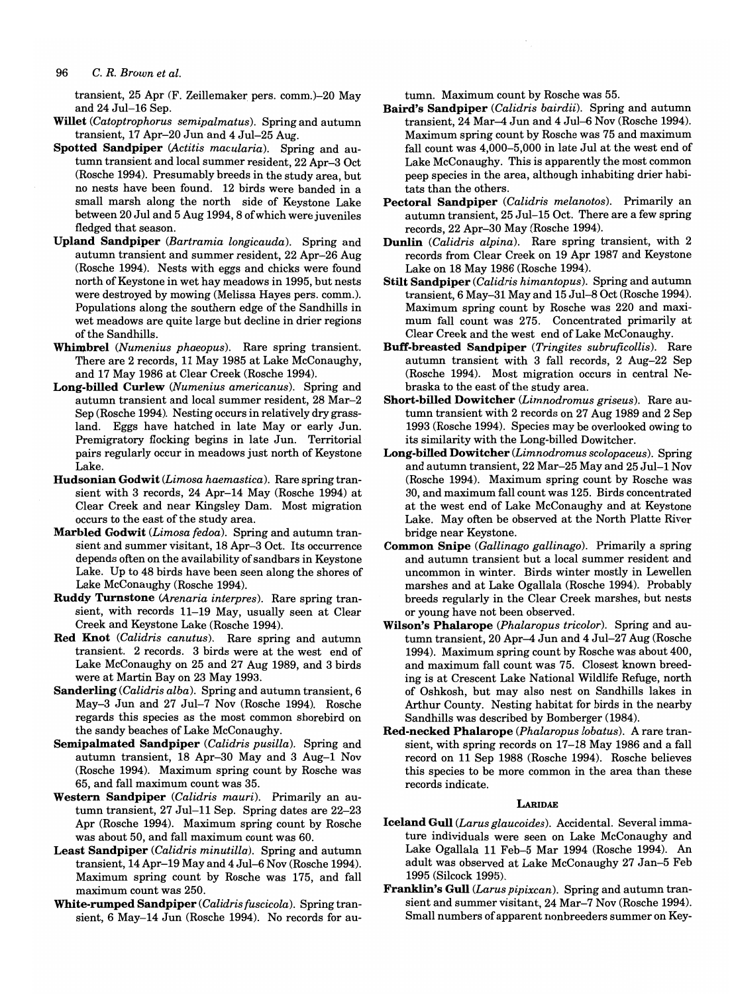transient, 25 Apr (F. Zeillemaker pers. comm.)-20 May and 24 Jul-16 Sep.

- Willet *(Catoptrophorus semipalmatus).* Spring and autumn transient, 17 Apr-20 Jun and 4 Jul-25 Aug.
- Spotted Sandpiper *(Actitis macularia).* Spring and autumn transient and local summer resident, 22 Apr-3 Oct (Rosche 1994). Presumably breeds in the study area, but no nests have been found. 12 birds were banded in a small marsh along the north side of Keystone Lake between 20 Jul and 5 Aug 1994, 8 of which were juveniles fledged that season.
- Upland Sandpiper *(Bartramia longicauda).* Spring and autumn transient and summer resident, 22 Apr-26 Aug (Rosche 1994). Nests with eggs and chicks were found north of Keystone in wet hay meadows in 1995, but nests were destroyed by mowing (Melissa Hayes pers. comm.). Populations along the southern edge of the Sandhills in wet meadows are quite large but decline in drier regions of the Sandhills.
- Whimbrel *(Numenius phaeopus)*. Rare spring transient. There are 2 records, 11 May 1985 at Lake McConaughy, and 17 May 1986 at Clear Creek (Rosche 1994).
- Long-billed Curlew *(Numenius americanus).* Spring and autumn transient and local summer resident, 28 Mar-2 Sep (Rosche 1994). Nesting occurs in relatively dry grassland. Eggs have hatched in late Mayor early Jun. Premigratory flocking begins in late Jun. Territorial pairs regularly occur in meadows just north of Keystone Lake.
- Hudsonian Godwit *(Limosa haemastica).* Rare spring transient with 3 records, 24 Apr-14 May (Rosche 1994) at Clear Creek and near Kingsley Dam. Most migration occurs to the east of the study area.
- Marbled Godwit *(Limosa fedoa).* Spring and autumn transient and summer visitant, 18 Apr-3 Oct. Its occurrence depends often on the availability of sandbars in Keystone Lake. Up to 48 birds have been seen along the shores of Lake McConaughy (Rosche 1994).
- Ruddy Turnstone *(Arenaria interpres).* Rare spring transient, with records 11-19 May, usually seen at Clear Creek and Keystone Lake (Rosche 1994).
- Red Knot *(Calidris canutus).* Rare spring and autumn transient. 2 records. 3 birds were at the west end of Lake McConaughy on 25 and 27 Aug 1989, and 3 birds were at Martin Bay on 23 May 1993.
- Sanderling *(Calidris alba).* Spring and autumn transient, 6 May-3 Jun and 27 Jul-7 Nov (Rosche 1994). Rosche regards this species as the most common shorebird on the sandy beaches of Lake McConaughy.
- Semipalmated Sandpiper *(Calidris pusilla).* Spring and autumn transient, 18 Apr-30 May and 3 Aug-1 Nov (Rosche 1994). Maximum spring count by Rosche was 65, and fall maximum count was 35.
- Western Sandpiper *(Calidris mauri).* Primarily an autumn transient, 27 Jul-11 Sep. Spring dates are 22-23 Apr (Rosche 1994). Maximum spring count by Rosche was about 50, and fall maximum count was 60.
- Least Sandpiper *(Calidris minutilla).* Spring and autumn transient, 14 Apr-19 May and 4 Jul-6 Nov (Rosche 1994). Maximum spring count by Rosche was 175, and fall maximum count was 250.
- White-rumped Sandpiper *(Calidris fuscicola).* Spring transient, 6 May-14 Jun (Rosche 1994). No records for au-

tumn. Maximum count by Rosche was 55.

- Baird's Sandpiper *(Calidris bairdii).* Spring and autumn transient, 24 Mar-4 Jun and 4 Jul-6 Nov (Rosche 1994). Maximum spring count by Rosche was 75 and maximum fall count was 4,000-5,000 in late Jul at the west end of Lake McConaughy. This is apparently the most common peep species in the area, although inhabiting drier habitats than the others.
- Pectoral Sandpiper *(Calidris melanotos).* Primarily an autumn transient, 25 Jul-15 Oct. There are a few spring records, 22 Apr-30 May (Rosche 1994).
- Dunlin *(Calidris alpina).* Rare spring transient, with 2 records from Clear Creek on 19 Apr 1987 and Keystone Lake on 18 May 1986 (Rosche 1994).
- Stilt Sandpiper *(Calidris himantopus).* Spring and autumn transient, 6 May-31 May and 15 Jul-8 Oct (Rosche 1994). Maximum spring count by Rosche was 220 and maximum fall count was 275. Concentrated primarily at Clear Creek and the west end of Lake McConaughy.
- Buff-breasted Sandpiper *(Tringites subruficollis).* Rare autumn transient with 3 fall records, 2 Aug-22 Sep (Rosche 1994). Most migration occurs in central Nebraska to the east of the study area.
- Short-billed Dowitcher *(Limnodromus griseus).* Rare autumn transient with 2 records on 27 Aug 1989 and 2 Sep 1993 (Rosche 1994). Species may be overlooked owing to its similarity with the Long-billed Dowitcher.
- Long-billed Dowitcher *(Limnodromus scolopaceus).* Spring and autumn transient, 22 Mar-25 May and 25 Jul-1 Nov (Rosche 1994). Maximum spring count by Rosche was 30, and maximum fall count was 125. Birds concentrated at the west end of Lake McConaughy and at Keystone Lake. May often be observed at the North Platte River bridge near Keystone.
- Common Snipe *(Gallinago gallinago).* Primarily a spring and autumn transient but a local summer resident and uncommon in winter. Birds winter mostly in Lewellen marshes and at Lake Ogallala (Rosche 1994). Probably breeds regularly in the Clear Creek marshes, but nests or young have not been observed.
- Wilson's Phalarope *(Phalaropus tricolor).* Spring and autumn transient, 20 Apr-4 Jun and 4 Jul-27 Aug (Rosche 1994). Maximum spring count by Rosche was about 400, and maximum fall count was 75. Closest known breeding is at Crescent Lake National Wildlife Refuge, north of Oshkosh, but may also nest on Sandhills lakes in Arthur County. Nesting habitat for birds in the nearby Sandhills was described by Bomberger (1984).
- Red-necked Phalarope *(Phalaropuslobatus).* A rare transient, with spring records on 17-18 May 1986 and a fall record on 11 Sep 1988 (Rosche 1994). Rosche believes this species to be more common in the area than these records indicate.

#### **LARIDAE**

- Iceland Gull *(Larus glaucoides).* Accidental. Several immature individuals were seen on Lake McConaughy and Lake Ogallala 11 Feb-5 Mar 1994 (Rosche 1994). An adult was observed at Lake McConaughy 27 Jan-5 Feb 1995 (Silcock 1995).
- Franklin's Gull *(Larus pipixcan).* Spring and autumn transient and summer visitant, 24 Mar-7 Nov (Rosche 1994). Small numbers of apparent nonbreeders summer on Key-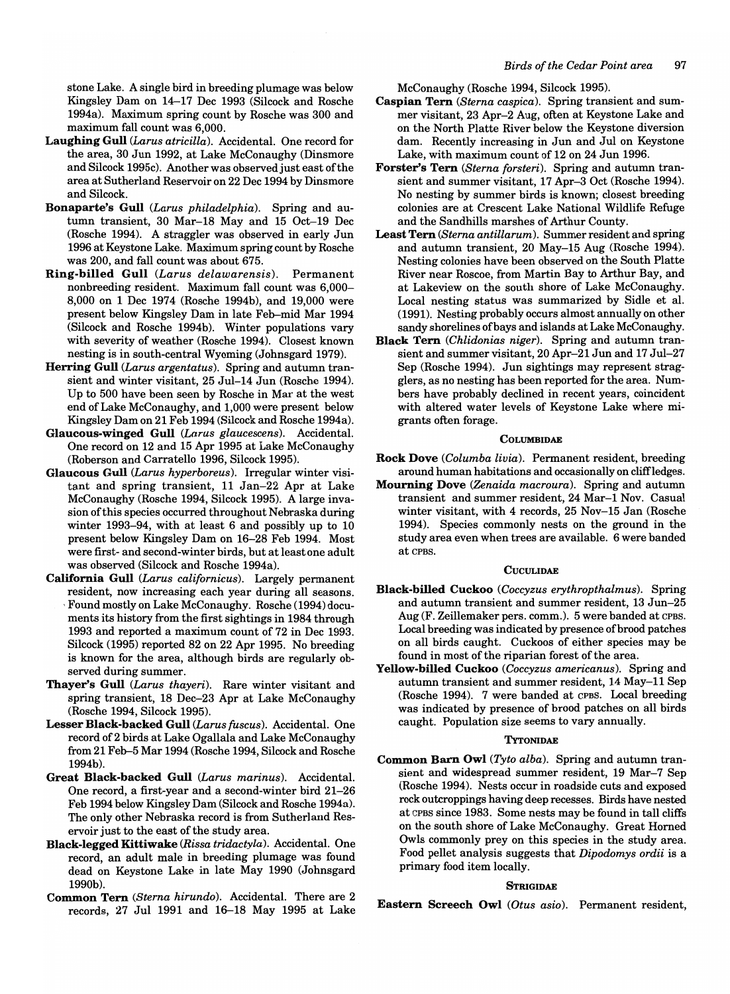stone Lake. A single bird in breeding plumage was below Kingsley Dam on 14-17 Dec 1993 (Silcock and Rosche 1994a). Maximum spring count by Rosche was 300 and maximum fall count was 6,000.

- Laughing Gull *(Larus atricilla).* Accidental. One record for the area, 30 Jun 1992, at Lake McConaughy (Dinsmore and Silcock 1995c). Another was observed just east of the area at Sutherland Reservoir on 22 Dec 1994 by Dinsmore and Silcock.
- Bonaparte's Gull *(Larus philadelphia).* Spring and autumn transient, 30 Mar-18 May and 15 Oct-19 Dec (Rosche 1994). A straggler was observed in early Jun 1996 at Keystone Lake. Maximum spring count by Rosche was 200, and fall count was about 675.
- Ring-billed Gull *(Larus delawarensis).* Permanent nonbreeding resident. Maximum fall count was 6,000- 8,000 on 1 Dec 1974 (Rosche 1994b), and 19,000 were present below Kingsley Dam in late Feb-mid Mar 1994 (Silcock and Rosche 1994b). Winter populations vary with severity of weather (Rosche 1994). Closest known nesting is in south-central Wyoming (Johnsgard 1979).
- Herring Gull *(Larus argentatus).* Spring and autumn transient and winter visitant, 25 Jul-14 Jun (Rosche 1994). Up to 500 have been seen by Rosche in Mar at the west end of Lake McConaughy, and 1,000 were present below Kingsley Dam on 21 Feb 1994 (Silcock and Rosche 1994a).
- Glaucous-winged Gull *(Larus glaucescens).* Accidental. One record on 12 and 15 Apr 1995 at Lake McConaughy (Roberson and Carratello 1996, Silcock 1995).
- Glaucous Gull *(Larus hyperboreus).* Irregular winter visitant and spring transient, 11 Jan-22 Apr at Lake McConaughy (Rosche 1994, Silcock 1995). A large invasion of this species occurred throughout Nebraska during winter 1993-94, with at least 6 and possibly up to 10 present below Kingsley Dam on 16-28 Feb 1994. Most were first- and second-winter birds, but at least one adult was observed (Silcock and Rosche 1994a).
- California Gull *(Larus californicus).* Largely permanent resident, now increasing each year during all seasons. , Found mostly on Lake McConaughy. Rosche (1994) documents its history from the first sightings in 1984 through 1993 and reported a maximum count of 72 in Dec 1993. Silcock (1995) reported 82 on 22 Apr 1995. No breeding is known for the area, although birds are regularly observed during summer.
- Thayer's Gull *(Larus thayeri).* Rare winter visitant and spring transient, 18 Dec-23 Apr at Lake McConaughy (Rosche 1994, Silcock 1995).
- Lesser Black-backed Gull *(Larus fuscus).* Accidental. One record of2 birds at Lake Ogallala and Lake McConaughy from 21 Feb-5 Mar 1994 (Rosche 1994, Silcock and Rosche 1994b).
- Great Black-backed Gull *(Larus marinus).* Accidental. One record, a first-year and a second-winter bird 21-26 Feb 1994 below Kingsley Dam (Silcock and Rosche 1994a). The only other Nebraska record is from Sutherland Reservoir just to the east of the study area.
- Black-legged Kittiwake *(Rissa tridactyla).* Accidental. One record, an adult male in breeding plumage was found dead on Keystone Lake in late May 1990 (Johnsgard 1990b).
- Common Tern *(Sterna hirundo).* Accidental. There are 2 records, 27 Jul 1991 and 16-18 May 1995 at Lake

McConaughy (Rosche 1994, Silcock 1995).

- Caspian Tern *(Sterna caspica).* Spring transient and summer visitant, 23 Apr-2 Aug, often at Keystone Lake and on the North Platte River below the Keystone diversion dam. Recently increasing in Jun and Jul on Keystone Lake, with maximum count of 12 on 24 Jun 1996.
- Forster's Tern *(Sterna forsteri).* Spring and autumn transient and summer visitant, 17 Apr-3 Oct (Rosche 1994). No nesting by summer birds is known; closest breeding colonies are at Crescent Lake National Wildlife Refuge and the Sandhills marshes of Arthur County.
- Least Tern *(Sterna antillarum).* Summer resident and spring and autumn transient, 20 May-15 Aug (Rosche 1994). Nesting colonies have been observed on the South Platte River near Roscoe, from Martin Bay to Arthur Bay, and at Lakeview on the south shore of Lake McConaughy. Local nesting status was summarized by Sidle et al. (1991). Nesting probably occurs almost annually on other sandy shorelines of bays and islands at Lake McConaughy.
- Black Tern *(Chlidonias niger).* Spring and autumn transient and summer visitant, 20 Apr-21 Jun and 17 Jul-27 Sep (Rosche 1994). Jun sightings may represent stragglers, as no nesting has been reported for the area. Numbers have probably declined in recent years, coincident with altered water levels of Keystone Lake where migrants often forage.

#### **COLUMBIDAE**

- Rock Dove *(Columba Livia).* Permanent resident, breeding around human habitations and occasionally on cliffledges.
- Mourning Dove *(Zenaida macroura).* Spring and autumn transient and summer resident, 24 Mar-1 Nov. Casual winter visitant, with 4 records, 25 Nov-15 Jan (Rosche 1994). Species commonly nests on the ground in the study area even when trees are available. 6 were banded at CPBS.

#### **CUCULIDAE**

- Black-billed Cuckoo *(Coccyzus erythropthalmus).* Spring and autumn transient and summer resident, 13 Jun-25 Aug (F. Zeillemaker pers. comm.). 5 were banded at CPBS. Local breeding was indicated by presence of brood patches on all birds caught. Cuckoos of either species may be found in most of the riparian forest of the area.
- Yellow-billed Cuckoo *(Coccyzus americanus).* Spring and autumn transient and summer resident, 14 May-11 Sep (Rosche 1994). 7 were banded at CPBS. Local breeding was indicated by presence of brood patches on all birds caught. Population size seems to vary annually.

#### **TYTONIDAE**

Common Barn Owl *(Tyto alba).* Spring and autumn transient and widespread summer resident, 19 Mar-7 Sep (Rosche 1994). Nests occur in roadside cuts and exposed rock outcroppings having deep recesses. Birds have nested at CPBS since 1983. Some nests may be found in tall cliffs on the south shore of Lake McConaughy. Great Homed Owls commonly prey on this species in the study area. Food pellet analysis suggests that *Dipodomys ordii* is a primary food item locally.

#### **STRIGIDAE**

Eastern Screech Owl *(Otus asio).* Permanent resident,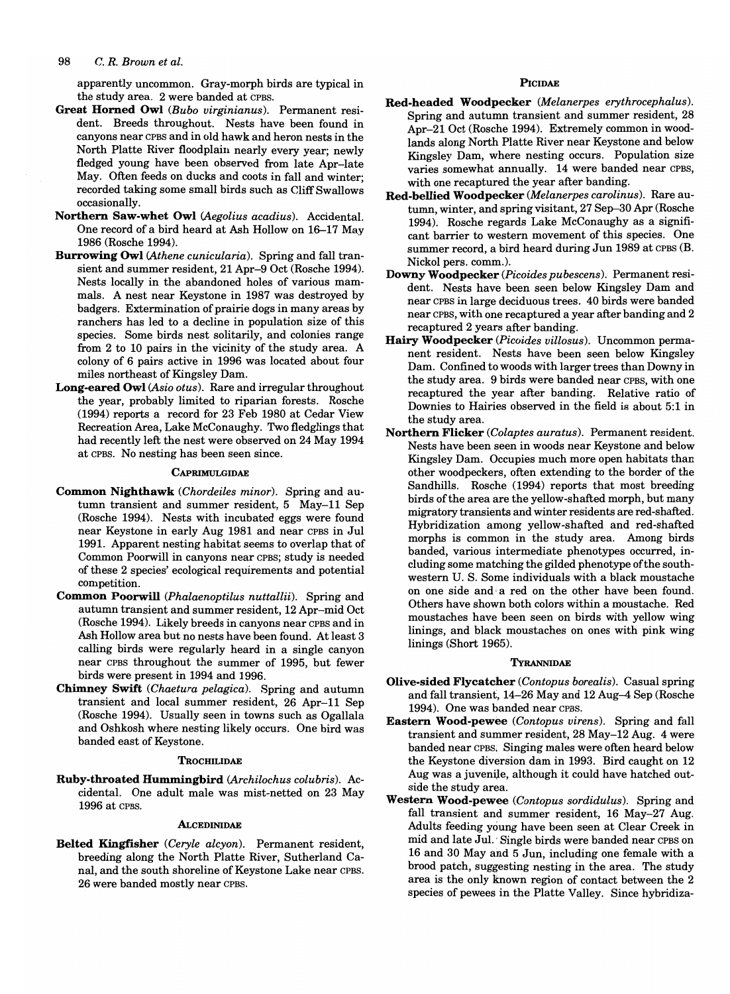apparently uncommon. Gray-morph birds are typical in the study area. 2 were banded at CPBS.

- Great Horned Owl *(Bubo virginianus).* Permanent resident. Breeds throughout. Nests have been found in canyons near CPBS and in old hawk and heron nests in the North Platte River floodplain nearly every year; newly fledged young have been observed from late Apr-late May. Often feeds on ducks and coots in fall and winter; recorded taking some small birds such as Cliff Swallows occasionally.
- Northern Saw-whet Owl *(Aegolius acadius).* Accidental. One record of a bird heard at Ash Hollow on 16-17 May 1986 (Rosche 1994).
- Burrowing Owl *(Athene cunicularia).* Spring and fall transient and summer resident, 21 Apr-9 Oct (Rosche 1994). Nests locally in the abandoned holes of various mammals. A nest near Keystone in 1987 was destroyed by badgers. Extermination of prairie dogs in many areas by ranchers has led to a decline in population size of this species. Some birds nest solitarily, and colonies range from 2 to 10 pairs in the vicinity of the study area. A colony of 6 pairs active in 1996 was located about four miles northeast of Kingsley Dam.
- Long-eared Owl *(Asio otus).* Rare and irregular throughout the year, probably limited to riparian forests. Rosche (1994) reports a record for 23 Feb 1980 at Cedar View Recreation Area, Lake McConaughy. Two fledglings that had recently left the nest were observed on 24 May 1994 at CPBS. No nesting has been seen since.

#### **CAPRIMULGIDAE**

- Common Nighthawk *(Chordeiles minor).* Spring and autumn transient and summer resident, 5 May-ll Sep (Rosche 1994). Nests with incubated eggs were found near Keystone in early Aug 1981 and near CPBS in Jul 1991. Apparent nesting habitat seems to overlap that of Common Poorwill in canyons near CPBS; study is needed of these 2 species' ecological requirements and potential competition.
- Common Poorwill *(Phalaenoptilus nuttallii).* Spring and autumn transient and summer resident, 12 Apr-mid Oct (Rosche 1994). Likely breeds in canyons near CPBS and in Ash Hollow area but no nests have been found. At least 3 calling birds were regularly heard in a single canyon near CPBS throughout the summer of 1995, but fewer birds were present in 1994 and 1996.
- Chimney Swift *(Chaetura pelagica).* Spring and autumn transient and local summer resident, 26 Apr-ll Sep (Rosche 1994). Usually seen in towns such as Ogallala and Oshkosh where nesting likely occurs. One bird was banded east of Keystone.

#### **TROCHILIDAE**

Ruby-throated Hummingbird *(Archilochus colubris).* Accidental. One adult male was mist-netted on 23 May 1996 at CPBS.

#### **ALCEDINIDAE**

Belted Kingfisher *(Ceryle alcyon).* Permanent resident, breeding along the North Platte River, Sutherland Canal, and the south shoreline of Keystone Lake near CPBS. 26 were banded mostly near CPBS.

#### **PICIDAE**

- Red-headed Woodpecker *(Melanerpes erythrocephalus).*  Spring and autumn transient and summer resident, 28 Apr-21 Oct (Rosche 1994). Extremely common in woodlands along North Platte River near Keystone and below Kingsley Dam, where nesting occurs. Population size varies somewhat annually. 14 were banded near CPBS, with one recaptured the year after banding.
- Red-bellied Woodpecker *(Melanerpes carolinus).* Rare autumn, winter, and spring visitant, 27 Sep-30 Apr (Rosche 1994). Rosche regards Lake McConaughy as a significant barrier to western movement of this species. One summer record, a bird heard during Jun 1989 at CPBS (B. Nickol pers. comm.). .
- Downy Woodpecker (Picoides pubescens). Permanent resident. Nests have been seen below Kingsley Dam and near CPBS in large deciduous trees. 40 birds were banded near CPBS, with one recaptured a year after banding and 2 recaptured 2 years after banding.
- Hairy Woodpecker (Picoides villosus). Uncommon permanent resident. Nests have been seen below Kingsley Dam. Confined to woods with larger trees than Downy in the study area. 9 birds were banded near CPBS, with one recaptured the year after banding. Relative ratio of Downies to Hairies observed in the field is about 5:1 in the study area.
- Northern Flicker *(Colaptes auratus).* Permanent resident. Nests have been seen in woods near Keystone and below Kingsley Dam. Occupies much more open habitats than other woodpeckers, often extending to the border of the Sandhills. Rosche (1994) reports that most breeding birds of the area are the yellow-shafted morph, but many migratory transients and winter residents are red-shafted. Hybridization among yellow-shafted and red-shafted morphs is common in the study area. Among birds banded, various intermediate phenotypes occurred, Including some matching the gilded phenotype of the southwestern U. S. Some individuals with a black moustache on one side and a red on the other have been found. Others have shown both colors within a moustache. Red moustaches have been seen on birds with yellow wing linings, and black moustaches on ones with pink wing linings (Short 1965).

#### TYRANNIDAE

- Olive-sided Flycatcher *(Contopus borealis).* Casual spring and fall transient, 14-26 May and 12 Aug-4 Sep (Rosche 1994). One was banded near CPBS.
- Eastern Wood-pewee *(Contopus uirens).* Spring and fall transient and summer resident, 28 May-12 Aug. 4 were banded near CPBS. Singing males were often heard below the Keystone diversion dam in 1993. Bird caught on 12 Aug was a juvenile, although it could have hatched outside the study area.
- Western Wood-pewee *(Contopus sordidulus).* Spring and fall transient and summer resident, 16 May-27 Aug. Adults feeding young have been seen at Clear Creek in mid and late Jul. Single birds were banded near CPBS on 16 and 30 May and 5 Jun, including one female with a brood patch, suggesting nesting in the area. The study area is the only known region of contact between the 2 species of pewees in the Platte Valley. Since hybridiza-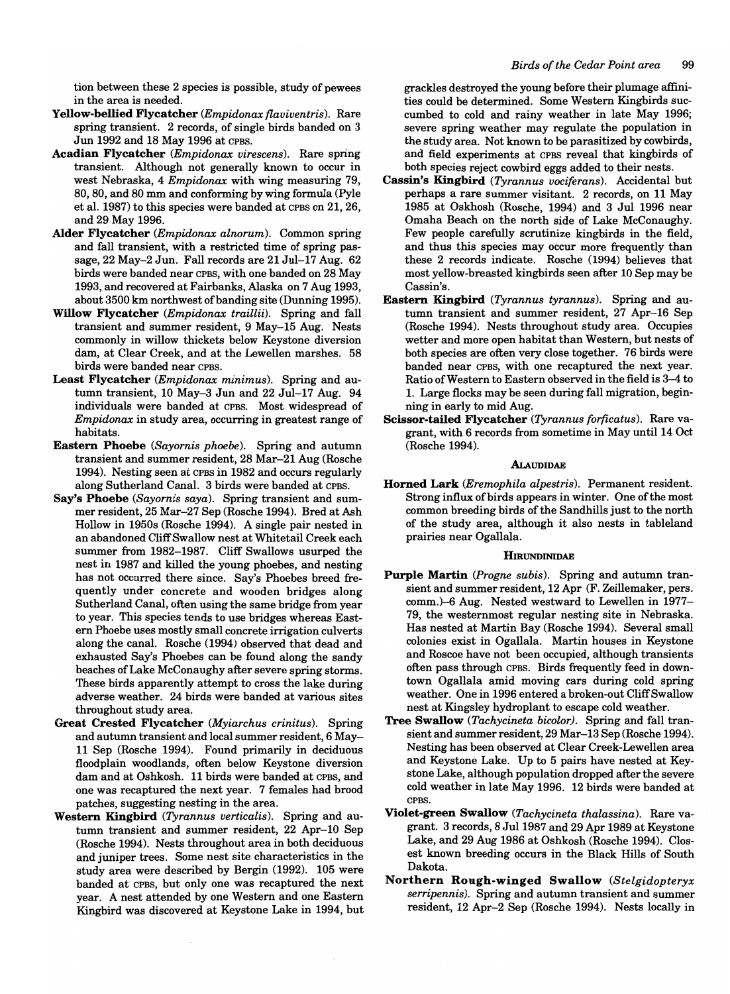tion between these 2 species is possible, study of pewees in the area is needed.

- Yellow-bellied Flycatcher *(Empidonax flaviventris).* Rare spring transient. 2 records, of single birds banded on 3 Jun 1992 and 18 May 1996 at CPBS.
- Acadian Flycatcher *(Empidonax virescens).* Rare spring transient. Although not generally known to occur in west Nebraska, 4 *Empidonax* with wing measuring 79, 80, 80, and 80 mm and conforming by wing formula (Pyle et al. 1987) to this species were banded at CPBS on 21, 26, and 29 May 1996.
- Alder Flycatcher *(Empidonax alnorum).* Common spring and fall transient, with a restricted time of spring passage, 22 May-2 Jun. Fall records are 21 Jul-17 Aug. 62 birds were banded near CPBS, with one banded on 28 May 1993, and recovered at Fairbanks, Alaska on 7 Aug 1993, about 3500 km northwest of banding site (Dunning 1995).
- Willow Flycatcher *(Empidonax traillii).* Spring and fall transient and summer resident, 9 May-15 Aug. Nests commonly in willow thickets below Keystone diversion dam, at Clear Creek, and at the Lewellen marshes. 58 birds were banded near CPBS.
- Least Flycatcher *(Empidonax minimus).* Spring and autumn transient, 10 May-3 Jun and 22 Jul-17 Aug. 94 individuals were banded at CPBS. Most widespread of *Empidonax* in study area, occurring in greatest range of habitats.
- Eastern Phoebe *(Sayornis phoebe).* Spring and autumn transient and summer resident, 28 Mar-21 Aug (Rosche 1994). Nesting seen at CPBS in 1982 and occurs regularly along Sutherland Canal. 3 birds were banded at CPBS.
- Say's Phoebe *(Sayornis saya).* Spring transient and summer resident, 25 Mar-27 Sep (Rosche 1994). Bred at Ash Hollow in 1950s (Rosche 1994). A single pair nested in an abandoned Cliff Swallow nest at Whitetail Creek each summer from 1982-1987. Cliff Swallows usurped the nest in 1987 and killed the young phoebes, and nesting has not occurred there since. Say's Phoebes breed frequently under concrete and wooden bridges along Sutherland Canal, often using the same bridge from year to year. This species tends to use bridges whereas Eastern Phoebe uses mostly small concrete irrigation culverts along the canal. Rosche (1994) observed that dead and exhausted Say's Phoebes can be found along the sandy beaches of Lake McConaughy after severe spring storms. These birds apparently attempt to cross the lake during adverse weather. 24 birds were banded at various sites throughout study area.
- Great Crested Flycatcher *(Myiarchus crinitus).* Spring and autumn transient and local summer resident, 6 May-11 Sep (Rosche 1994). Found primarily in deciduous floodplain woodlands, often below Keystone diversion dam and at Oshkosh. 11 birds were banded at CPBS, and one was recaptured the next year. 7 females had brood patches, suggesting nesting in the area.
- Western Kingbird *(Tyrannus verticalis).* Spring and autumn transient and summer resident, 22 Apr-l0 Sep (Rosche 1994). Nests throughout area in both deciduous and juniper trees. Some nest site characteristics in the study area were described by Bergin (1992). 105 were banded at CPBS, but only one was recaptured the next year. A nest attended by one Western and one Eastern Kingbird was discovered at Keystone Lake in 1994, but

grackles destroyed the young before their plumage affinities could be determined. Some Western Kingbirds succumbed to cold and rainy weather in late May 1996; severe spring weather may regulate the population in the study area. Not known to be parasitized by cowbirds, and field experiments at CPBS reveal that kingbirds of both species reject cowbird eggs added to their nests.

- Cassin's Kingbird *(Tyrannus vociferans).* Accidental but perhaps a rare summer visitant. 2 records, on 11 May 1985 at Oskhosh (Rosche, 1994) and 3 Jul 1996 near Omaha Beach on the north side of Lake McConaughy. Few people carefully scrutinize kingbirds in the field, and thus this species may occur more frequently than these 2 records indicate. Rosche (1994) believes that most yellow-breasted kingbirds seen after 10 Sep may be Cassin's.
- Eastern Kingbird *(Tyrannus tyrannus).* Spring and autumn transient and summer resident, 27 Apr-16 Sep (Rosche 1994). Nests throughout study area. Occupies wetter and more open habitat than Western, but nests of both species are often very close together. 76 birds were banded near CPBS, with one recaptured the next year. Ratio of Western to Eastern observed in the field is 3-4 to 1. Large flocks may be seen during fall migration, beginning in early to mid Aug.
- Scissor-tailed Flycatcher *(Tyrannus forficatus).* Rare vagrant, with 6 records from sometime in May until 14 Oct (Rosche 1994).

#### **ALAUDIDAE**

Horned Lark *(Eremophila alpestris).* Permanent resident. Strong influx of birds appears in winter. One of the most common breeding birds of the Sandhills just to the north of the study area, although it also nests in tableland prairies near Ogallala.

#### **HIRUNDINIDAE**

- Purple Martin *(Progne subis).* Spring and autumn transient and summer resident, 12 Apr (F. Zeillemaker, pers. comm.)-6 Aug. Nested westward to Lewellen in 1977- 79, the westernmost regular nesting site in Nebraska. Has nested at Martin Bay (Rosche 1994). Several small colonies exist in Ogallala. Martin houses in Keystone and Roscoe have not been occupied, although transients often pass through CPBS. Birds frequently feed in downtown Ogallala amid moving cars during cold spring weather. One in 1996 entered a broken-out Cliff Swallow nest at Kingsley hydroplant to escape cold weather.
- Tree Swallow *(Tachycineta bicolor).* Spring and fall transient and summer resident, 29 Mar-13 Sep(Rosche 1994). Nesting has been observed at Clear Creek-Lewellen area and Keystone Lake. Up to 5 pairs have nested at Keystone Lake, although population dropped after the severe cold weather in late May 1996. 12 birds were banded at CPBS.
- Violet-green Swallow *(Tachycineta thalassina).* Rare vagrant. 3 records, 8 Jul1987 and 29 Apr 1989 at Keystone Lake, and 29 Aug 1986 at Oshkosh (Rosche 1994). Closest known breeding occurs in the Black Hills of South Dakota.
- Northern Rough-winged Swallow *(Stelgidopteryx serripennis).* Spring and autumn transient and summer resident, 12 Apr-2 Sep (Rosche 1994). Nests locally in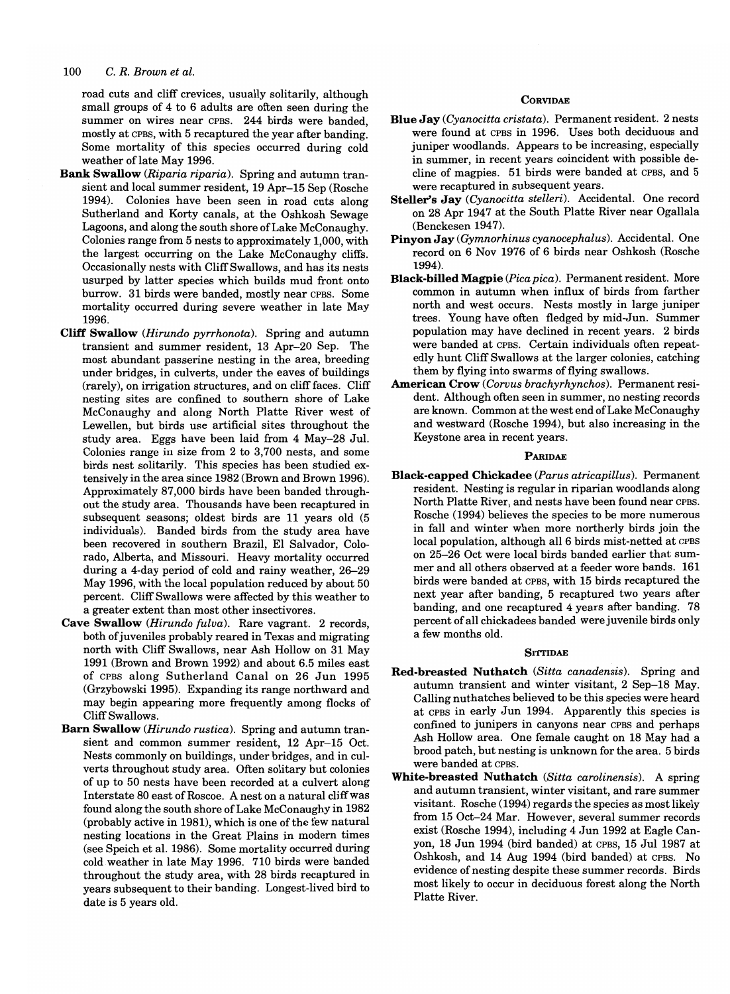road cuts and cliff crevices, usually solitarily, although small groups of 4 to 6 adults are often seen during the summer on wires near CPBS. 244 birds were banded, mostly at CPBS, with 5 recaptured the year after banding: Some mortality of this species occurred during cold weather of late May 1996.

- Bank Swallow *(Riparia riparia).* Spring and autumn transient and local summer resident, 19 Apr-15 Sep (Rosche 1994). Colonies have been seen in road cuts along Sutherland and Korty canals, at the Oshkosh Sewage Lagoons, and along the south shore of Lake McConaughy. Colonies range from 5 nests to approximately 1,000, with the largest occurring on the Lake McConaughy cliffs. Occasionally nests with Cliff Swallows, and has its nests usurped by latter species which builds mud front onto burrow. 31 birds were banded, mostly near CPBS. Some mortality occurred during severe weather in late May 1996.
- Cliff Swallow *(Hirundo pyrrhonota).* Spring and autumn transient and summer resident, 13 Apr-20 Sep. The most abundant passerine nesting in the area, breeding under bridges, in culverts, under the eaves of buildings (rarely), on irrigation structures, and on cliff faces. Cliff nesting sites are confined to southern shore of Lake McConaughy and along North Platte River west of Lewellen, but birds use artificial sites throughout the study area. Eggs have been laid from 4 May-28 Jul. Colonies range in size from 2 to 3,700 nests, and some birds nest solitarily. This species has been studied extensively in the area since 1982 (Brown and Brown 1996). Approximately 87,000 birds have been banded throughout the study area. Thousands have been recaptured in subsequent seasons; oldest birds are 11 years old (5 individuals). Banded birds from the study area have been recovered in southern Brazil, EI Salvador, Colorado, Alberta, and Missouri. Heavy mortality occurred during a 4-day period of cold and rainy weather, 26-29 May 1996, with the local population reduced by about 50 percent. Cliff Swallows were affected by this weather to a greater extent than most other insectivores.
- Cave Swallow *(Hirundo fulva).* Rare vagrant. 2 records, both of juveniles probably reared in Texas and migrating north with Cliff Swallows, near Ash Hollow on 31 May 1991 (Brown and Brown 1992) and about 6.5 miles east of CPBS along Sutherland Canal on 26 Jun 1995 (Grzybowski 1995). Expanding its range northward and may begin appearing more frequently among flocks of Cliff Swallows.
- Barn Swallow *(Hirundo rustica).* Spring and autumn transient and common summer resident, 12 Apr-15 Oct. Nests commonly on buildings, under bridges, and in culverts throughout study area. Often solitary but colonies of up to 50 nests have been recorded at a culvert along Interstate 80 east of Roscoe. A nest on a natural cliff was found along the south shore of Lake McConaughy in 1982 (probably active in 1981), which is one of the few natural nesting locations in the Great Plains in modem times (see Speich et al. 1986). Some mortality occurred during cold weather in late May 1996. 710 birds were banded throughout the study area, with 28 birds recaptured in years subsequent to their banding. Longest-lived bird to date is 5 years old.

#### **CORVIDAE**

- Blue Jay *(Cyanocitta cristata).* Permanent resident. 2 nests were found at CPBS in 1996. Uses both deciduous and juniper woodlands. Appears to be increasing, especially in summer, in recent years coincident with possible decline of magpies. 51 birds were banded at CPBS, and 5 were recaptured in subsequent years.
- Steller's Jay *(Cyanocitta stelleri).* Accidental. One record on 28 Apr 1947 at the South Platte River near Ogallala (Benckesen 1947).
- Pinyon Jay *(Gymnorhinus cyanocephalus).* Accidental. One record on 6 Nov 1976 of 6 birds near Oshkosh (Rosche 1994).
- Black-billed Magpie *(Pica pica).* Permanent resident. More common in autumn when influx of birds from farther north and west occurs. Nests mostly in large juniper trees. Young have often fledged by mid-Jun. Summer population may have declined in recent years. 2 birds were banded at CPBS. Certain individuals often repeatedly hunt Cliff Swallows at the larger colonies, catching them by flying into swarms of flying swallows.
- American Crow *(Corvus brachyrhynchos).* Permanent resident. Although often seen in summer, no nesting records are known. Common at the west end of Lake McConaughy and westward (Rosche 1994), but also increasing in the Keystone area in recent years.

#### PARIDAE

Black-capped Chickadee *(Parus atricapillus).* Permanent resident. Nesting is regular in riparian woodlands along North Platte River, and nests have been found near CPBS. Rosche (1994) believes the species to be more numerous in fall and winter when more northerly birds join the local population, although all 6 birds mist-netted at CPBS on 25-26 Oct were local birds banded earlier that summer and all others observed at a feeder wore bands. 161 birds were banded at CPBS, with 15 birds recaptured the next year after banding, 5 recaptured two years after banding, and one recaptured 4 years after banding. 78 percent of all chickadees banded were juvenile birds only a few months old.

#### **SITTIDAE**

- Red-breasted Nuthatch *(Sitta canadensis).* Spring and autumn transient and winter visitant, 2 Sep-18 May. Calling nuthatches believed to be this species were heard at CPBS in early Jun 1994. Apparently this species is confined to junipers in canyons near CPBS and perhaps Ash Hollow area. One female caught on 18 May had a brood patch, but nesting is unknown for the area. 5 birds were banded at CPBS.
- White-breasted Nuthatch *(Sitta carolinensis).* A spring and autumn transient, winter visitant, and rare summer visitant. Rosche (1994) regards the species as most likely from 15 Oct-24 Mar. However, several summer records exist (Rosche 1994), including 4 Jun 1992 at Eagle Canyon, 18 Jun 1994 (bird banded) at CPBS, 15 Jul 1987 at Oshkosh, and 14 Aug 1994 (bird banded) at CPBS. No evidence of nesting despite these summer records. Birds most likely to occur in deciduous forest along the North Platte River.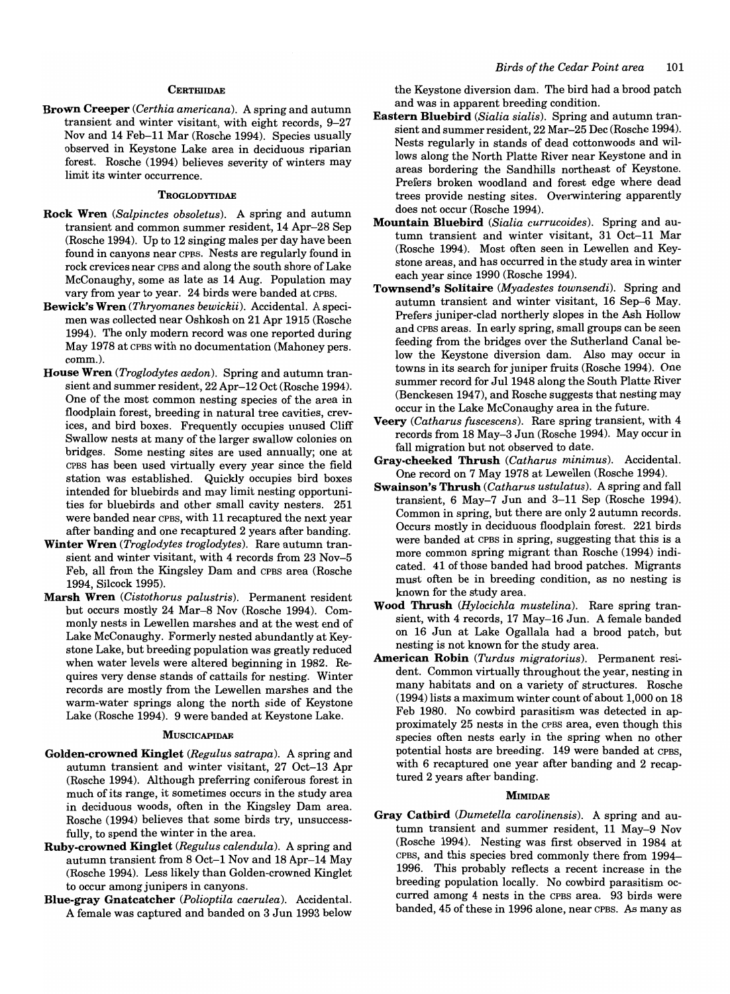#### **CERTHIIDAE**

Brown Creeper *(Certhia americana).* A spring and autumn transient and winter visitant, with eight records, 9-27 Nov and 14 Feb-11 Mar (Rosche 1994). Species usually observed in Keystone Lake area in deciduous riparian forest. Rosche (1994) believes severity of winters may limit its winter occurrence.

#### **TROGLODYTIDAE**

- Rock Wren *(Salpinctes obsoletus).* A spring and autumn transient and common summer resident, 14 Apr-28 Sep (Rosche 1994). Up to 12 singing males per day have been found in canyons near CPBS. Nests are regularly found in rock crevices near CPBS and along the south shore of Lake McConaughy, some as late as 14 Aug. Population may vary from year to year. 24 birds were banded at CPBS.
- Bewick's Wren *(Thryomanes bewickii).* Accidental. A specimen was collected near Oshkosh on 21 Apr 1915 (Rosche 1994). The only modem record was one reported during May 1978 at CPBS with no documentation (Mahoney pers. comm.).
- House Wren *(Troglodytes aedon).* Spring and autumn transient and summer resident, 22 Apr-12 Oct (Rosche 1994). One of the most common nesting species of the area in floodplain forest, breeding in natural tree cavities, crevices, and bird boxes. Frequently occupies unused Cliff Swallow nests at many of the larger swallow colonies on bridges. Some nesting sites are used annually; one at CPBS has been used virtually every year since the field station was established. Quickly occupies bird boxes intended for bluebirds and may limit nesting opportunities for bluebirds and other small cavity nesters. 251 were banded near CPBS, with 11 recaptured the next year after banding and one recaptured 2 years after banding.
- Winter Wren *(Troglodytes troglodytes).* Rare autumn transient and winter visitant, with 4 records from 23 Nov-5 Feb, all from the Kingsley Dam and CPBS area (Rosche 1994, Silcock 1995).
- Marsh Wren *(Cistothorus palustris).* Permanent resident but occurs mostly 24 Mar-8 Nov (Rosche 1994). Commonly nests in Lewellen marshes and at the west end of Lake McConaughy. Formerly nested abundantly at Keystone Lake, but breeding population was greatly reduced when water levels were altered beginning in 1982. Requires very dense stands of cattails for nesting. Winter records are mostly from the Lewellen marshes and the warm-water springs along the north side of Keystone Lake (Rosche 1994). 9 were banded at Keystone Lake.

#### **MUSCICAPIDAE**

- Golden-crowned Kinglet *(Regulus satrapa).* A spring and autumn transient and winter visitant, 27 Oct-13 Apr (Rosche 1994). Although preferring coniferous forest in much of its range, it sometimes occurs in the study area in deciduous woods, often in the Kingsley Dam area. Rosche (1994) believes that some birds try, unsuccessfully, to spend the winter in the area.
- Ruby-crowned Kinglet *(Regulus calendula).* A spring and autumn transient from 8 Oct-l Nov and 18 Apr-14 May (Rosche 1994). Less likely than Golden-crowned Kinglet to occur among junipers in canyons.
- Blue-gray Gnatcatcher *(Polioptila caerulea).* Accidental. A female was captured and banded on 3 Jun 1993 below

the Keystone diversion dam. The bird had a brood patch and was in apparent breeding condition.

- Eastern Bluebird *(Sialia sialis).* Spring and autumn transient and summer resident, 22 Mar-25 Dec (Rosche 1994). Nests regularly in stands of dead cottonwoods and willows along the North Platte River near Keystone and in areas bordering the Sandhills northeast of Keystone. Prefers broken woodland and forest edge where dead trees provide nesting sites. Overwintering apparently does not occur (Rosche 1994).
- Mountain Bluebird *(Sialia currucoides).* Spring and autumn transient and winter visitant, 31 Oct-11 Mar (Rosche 1994). Most often seen in Lewellen and Keystone areas, and has occurred in the study area in winter each year since 1990 (Rosche 1994).
- Townsend's Solitaire *(Myadestes townsendi).* Spring and autumn transient and winter visitant, 16 Sep-6 May. Prefers juniper-clad northerly slopes in the Ash Hollow and CPBS areas. In early spring, small groups can be seen feeding from the bridges over the Sutherland Canal below the Keystone diversion dam. Also may occur in towns in its search for juniper fruits (Rosche 1994). One summer record for Jul 1948 along the South Platte River (Benckesen 1947), and Rosche suggests that nesting may occur in the Lake McConaughy area in the future.
- Veery *(Catharus fuscescens).* Rare spring transient, with 4 records from 18 May-3 Jun (Rosche 1994). May occur in fall migration but not observed to date.
- Gray-cheeked Thrush *(Catharus minimus).* Accidental. One record on 7 May 1978 at Lewellen (Rosche 1994).
- Swainson's Thrush *(Catharus ustulatus).* A spring and fall transient, 6 May-7 Jun and 3-11 Sep (Rosche 1994). Common in spring, but there are only 2 autumn records. Occurs mostly in deciduous floodplain forest. 221 birds were banded at CPBS in spring, suggesting that this is a more common spring migrant than Rosche (1994) indicated. 41 of those banded had brood patches. Migrants must often be in breeding condition, as no nesting is known for the study area.
- Wood Thrush *(Hylocichla mustelina).* Rare spring transient, with 4 records, 17 May-16 Jun. A female banded on 16 Jun at Lake Ogallala had a brood patch, but nesting is not known for the study area.
- American Robin *(Turdus migratorius).* Permanent resident. Common virtually throughout the year, nesting in many habitats and on a variety of structures. Rosche (1994) lists a maximum winter count of about 1,000 on 18 Feb 1980. No cowbird parasitism was detected in approximately 25 nests in the CPBS area, even though this species often nests early in the spring when no other potential hosts are breeding. 149 were banded at CPBS, with 6 recaptured one year after banding and 2 recaptured 2 years after banding.

#### **MIMIDAE**

Gray Catbird *(Dumetella carolinensis).* A spring and autumn transient and summer resident, 11 May-9 Nov (Rosche 1994). Nesting was first observed in 1984 at CPBS, and this species bred commonly there from 1994- 1996. This probably reflects a recent increase in the breeding population locally. No cowbird parasitism occurred among 4 nests in the CPBS area. 93 birds were banded, 45 of these in 1996 alone, near CPBS. As many as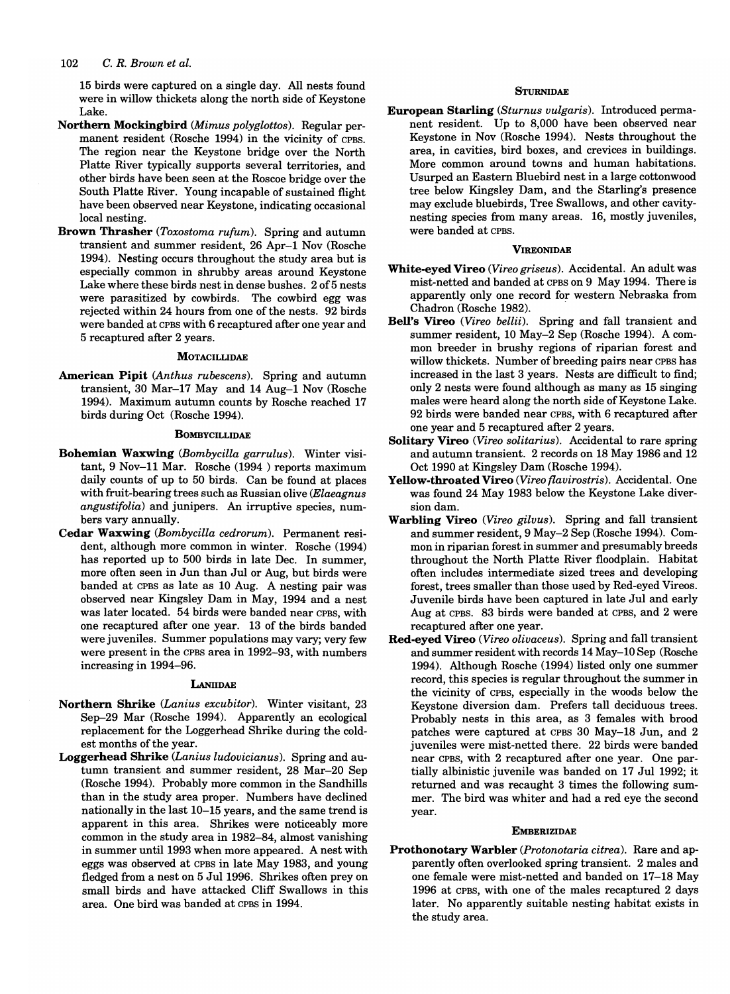15 birds were captured on a single day. All nests found were in willow thickets along the north side of Keystone Lake.

- Northern Mockingbird *(Mimus polyglottos).* Regular permanent resident (Rosche 1994) in the vicinity of CPBS. The region near the Keystone bridge over the North Platte River typically supports several territories, and other birds have been seen at the Roscoe bridge over the South Platte River. Young incapable of sustained flight have been observed near Keystone, indicating occasional local nesting.
- Brown Thrasher *(Toxostoma rufum).* Spring and autumn transient and summer resident, 26 Apr-1 Nov (Rosche 1994). Nesting occurs throughout the study area but is especially common in shrubby areas around Keystone Lake where these birds nest in dense bushes. 2 of 5 nests were parasitized by cowbirds. The cowbird egg was rejected within 24 hours from one of the nests. 92 birds were banded at CPBS with 6 recaptured after one year and 5 recaptured after 2 years.

#### **MOTACILLIDAE**

American Pipit *(Anthus rubescens).* Spring and autumn transient, 30 Mar-17 May and 14 Aug-1 Nov (Rosche 1994). Maximum autumn counts by Rosche reached 17 birds during Oct (Rosche 1994).

#### **BOMBYCILLIDAE**

- Bohemian Waxwing *(Bombycilla garrulus).* Winter visitant, 9 Nov-ll Mar. Rosche (1994 ) reports maximum daily counts of up to 50 birds. Can be found at places with fruit-bearing trees such as Russian olive *(Elaeagnus angustifolia)* and junipers. An irruptive species, numbers vary annually.
- Cedar Waxwing *(Bombycilla cedrorum).* Permanent resident, although more common in winter. Rosche (1994) has reported up to 500 birds in late Dec. In summer, more often seen in Jun than Jul or Aug, but birds were banded at CPBS as late as 10 Aug. A nesting pair was observed near Kingsley Dam in May, 1994 and a nest was later located. 54 birds were banded near CPBS, with one recaptured after one year. 13 of the birds banded were juveniles. Summer populations may vary; very few were present in the CPBS area in 1992-93, with numbers increasing in 1994-96.

#### **LANIIDAE**

- Northern Shrike *(Lanius excubitor).* Winter visitant, 23 Sep-29 Mar (Rosche 1994). Apparently an ecological replacement for the Loggerhead Shrike during the coldest months of the year.
- Loggerhead Shrike *(Lanius Iudovicianus).* Spring and autumn transient and summer resident, 28 Mar-20 Sep (Rosche 1994). Probably more common in the Sandhills than in the study area proper. Numbers have declined nationally in the last 10-15 years, and the same trend is apparent in this area. Shrikes were noticeably more common in the study area in 1982-84, almost vanishing in summer until 1993 when more appeared. A nest with eggs was observed at CPBS in late May 1983, and young fledged from a nest on 5 Ju11996. Shrikes often prey on small birds and have attacked Cliff Swallows in this area. One bird was banded at CPBS in 1994.

#### **STURNIDAE**

European Starling *(Sturnus vulgaris).* Introduced permanent resident. Up to 8,000 have been observed near Keystone in Nov (Rosche 1994). Nests throughout the area, in cavities, bird boxes, and crevices in buildings. More common around towns and human habitations. Usurped an Eastern Bluebird nest in a large cottonwood tree below Kingsley Dam, and the Starling's presence may exclude bluebirds, Tree Swallows, and other cavitynesting species from many areas. 16, mostly juveniles, were banded at CPBS.

#### **VIREONIDAE**

- White-eyed Vireo *(Vireo griseus).* Accidental. An adult was mist-netted and banded at CPBS on 9 May 1994. There is apparently only one record for western Nebraska from Chadron (Rosche 1982). .
- Bell's Vireo *(Vireo bellii).* Spring and fall transient and summer resident, 10 May-2 Sep (Rosche 1994). A common breeder in brushy regions of riparian forest and willow thickets. Number of breeding pairs near CPBS has increased in the last 3 years. Nests are difficult to find; only 2 nests were found although as many as 15 singing males were heard along the north side of Keystone Lake. 92 birds were banded near CPBS, with 6 recaptured after one year and 5 recaptured after 2 years.
- Solitary Vireo *(Vireo solitarius).* Accidental to rare spring and autumn transient. 2 records on 18 May 1986 and 12 Oct 1990 at Kingsley Dam (Rosche 1994).
- Yellow-throated Vireo *(Vireo flavirostris).* Accidental. One was found 24 May 1983 below the Keystone Lake diversion dam.
- Warbling Vireo *(Vireo giIvus).* Spring and fall transient and summer resident, 9 May-2 Sep (Rosche 1994). Common in riparian forest in summer and presumably breeds throughout the North Platte River floodplain. Habitat often includes intermediate sized trees and developing forest, trees smaller than those used by Red-eyed Vireos. Juvenile birds have been captured in late Jul and early Aug at CPBS. 83 birds were banded at CPBS, and 2 were recaptured after one year.
- Red-eyed Vireo *(Vireo olivaceus).* Spring and fall transient and summer resident with records 14 May-10 Sep (Rosche 1994). Although Rosche (1994) listed only one summer record, this species is regular throughout the summer in the vicinity of CPBS, especially in the woods below the Keystone diversion dam. Prefers tall deciduous trees. Probably nests in this area, as 3 females with brood patches were captured at CPBS 30 May-18 Jun, and 2 juveniles were mist-netted there. 22 birds were banded near CPBS, with 2 recaptured after one year. One partially albinistic juvenile was banded on 17 Jul 1992; it returned and was recaught 3 times the following summer. The bird was whiter and had a red eye the second year.

#### **EMBERIZIDAE**

Prothonotary Warbler *(Protonotaria citrea).* Rare and apparently often overlooked spring transient. 2 males and one female were mist-netted and banded on 17-18 May 1996 at CPBS, with one of the males recaptured 2 days later. No apparently suitable nesting habitat exists in the study area.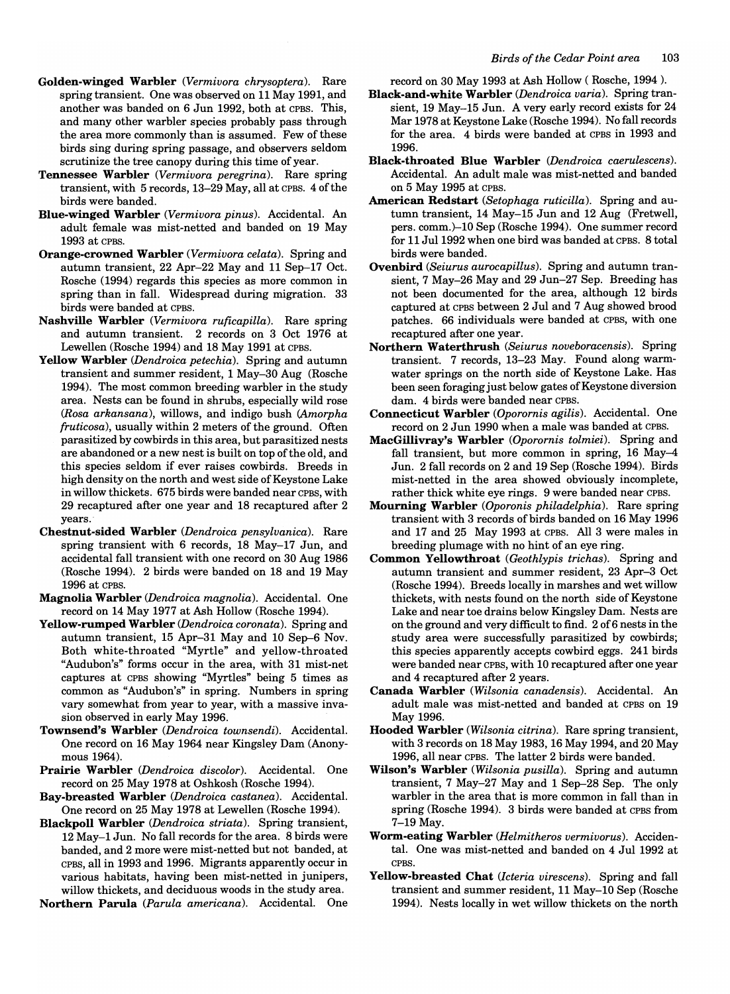- Golden-winged Warbler *(Vermiuora chrysoptera).* Rare spring transient. One was observed on 11 May 1991, and another was banded on 6 Jun 1992, both at CPBS. This, and many other warbler species probably pass through the area more commonly than is assumed. Few of these birds sing during spring passage, and observers seldom scrutinize the tree canopy during this time of year.
- Tennessee Warbler *(Vermiuora peregrina).* Rare spring transient, with 5 records, 13-29 May, all at CPBS. 4 of the birds were banded.
- Blue-winged Warbler *(Vermiuora pinus).* Accidental. An adult female was mist-netted and banded on 19 May 1993 at CPBS.
- Orange-crowned Warbler *(Vermiuora celata).* Spring and autumn transient, 22 Apr-22 May and 11 Sep-17 Oct. Rosche (1994) regards this species as more common in spring than in fall. Widespread during migration. 33 birds were banded at CPBS.
- Nashville Warbler *(Vermiuora ruficapilla).* Rare spring and autumn transient. 2 records on 3 Oct 1976 at Lewellen (Rosche 1994) and 18 May 1991 at CPBS.
- Yellow Warbler *(Dendroica petechia).* Spring and autumn transient and summer resident, 1 May-30 Aug (Rosche 1994). The most common breeding warbler in the study area. Nests can be found in shrubs, especially wild rose *(Rosa arkansana),* willows, and indigo bush *(Amorpha fruticosa),* usually within 2 meters of the ground. Often parasitized by cowbirds in this area, but parasitized nests are abandoned or a new nest is built on top of the old, and this species seldom if ever raises cowbirds. Breeds in high density on the north and west side of Keystone Lake in willow thickets. 675 birds were banded near CPBS, with 29 recaptured after one year and 18 recaptured after 2 years.
- Chestnut-sided Warbler *(Dendroica pensyluanica).* Rare spring transient with 6 records, 18 May-17 Jun, and accidental fall transient with one record on 30 Aug 1986 (Rosche 1994). 2 birds were banded on 18 and 19 May 1996 at CPBS.
- Magnolia Warbler *(Dendroica magnolia).* Accidental. One record on 14 May 1977 at Ash Hollow (Rosche 1994).
- Yellow-rumped Warbler *(Dendroica coronata).* Spring and autumn transient, 15 Apr-31 May and 10 Sep-6 Nov. Both white-throated "Myrtle" and yellow-throated "Audubon's" forms occur in the area, with 31 mist-net captures at CPBS showing "Myrtles" being 5 times as common as "Audubon's" in spring. Numbers in spring vary somewhat from year to year, with a massive invasion observed in early May 1996.
- Townsend's Warbler *(Dendroica townsendi).* Accidental. One record on 16 May 1964 near Kingsley Dam (Anonymous 1964).
- Prairie Warbler *(Dendroica discolor)*. Accidental. One record on 25 May 1978 at Oshkosh (Rosche 1994).
- Bay-breasted Warbler *(Dendroica castanea).* Accidental. One record on 25 May 1978 at Lewellen (Rosche 1994).
- Blackpoll Warbler *(Dendroica striata).* Spring transient, 12 May-1 Jun. No fall records for the area. 8 birds were banded, and 2 more were mist-netted but not banded, at CPBS, all in 1993 and 1996. Migrants apparently occur in various habitats, having been mist-netted in junipers, willow thickets, and deciduous woods in the study area.
- Northern Parula *(Parula americana).* Accidental. One

record on 30 May 1993 at Ash Hollow ( Rosche, 1994 ).

- Black-and-white Warbler *(Dendroica uaria).* Spring transient, 19 May-15 Jun. A very early record exists for 24 Mar 1978 at Keystone Lake (Rosche 1994). No fall records for the area. 4 birds were banded at CPBS in 1993 and 1996.
- Black-throated Blue Warbler *(Dendroica caerulescens).*  Accidental. An adult male was mist-netted and banded on 5 May 1995 at CPBS.
- American Redstart *(Setophaga ruticilla).* Spring and autumn transient, 14 May-15 Jun and 12 Aug (Fretwell, pers. comm.)-10 Sep (Rosche 1994). One summer record for 11 Jul 1992 when one bird was banded at CPBS. 8 total birds were banded.
- Ovenbird *(Seiurus aurocapillus).* Spring and autumn transient, 7 May-26 May and 29 Jun-27 Sep. Breeding has not been documented for the area, although 12 birds captured at CPBS between 2 Jul and 7 Aug showed brood patches. 66 individuals were banded at CPBS, with one recaptured after one year.
- Northern Waterthrush *(Seiurus noueboracensis).* Spring transient. 7 records, 13-23 May. Found along warmwater springs on the north side of Keystone Lake. Has been seen foraging just below gates of Keystone diversion dam. 4 birds were banded near CPBS.
- Connecticut Warbler *(Oporornis agilis).* Accidental. One record on 2 Jun 1990 when a male was banded at CPBS.
- MacGillivray's Warbler *(Oporornis tolmiei).* Spring and fall transient, but more common in spring, 16 May-4 Jun. 2 fall records on 2 and 19 Sep (Rosche 1994). Birds mist-netted in the area showed obviously incomplete, rather thick white eye rings. 9 were banded near CPBS.
- Mourning Warbler *(Oporonis philadelphia).* Rare spring transient with 3 records of birds banded on 16 May 1996 and 17 and 25 May 1993 at CPBS. All 3 were males in breeding plumage with no hint of an eye ring.
- Common Yellowthroat *(Geothlypis trichas).* Spring and autumn transient and summer resident, 23 Apr-3 Oct (Rosche 1994). Breeds locally in marshes and wet willow thickets, with nests found on the north side of Keystone Lake and near toe drains below Kingsley Dam. Nests are on the ground and very difficult to find. 2 of 6 nests in the study area were successfully parasitized by cowbirds; this species apparently accepts cowbird eggs. 241 birds were banded near CPBS, with 10 recaptured after one year and 4 recaptured after 2 years.
- Canada Warbler *(Wilsonia canadensis).* Accidental. An adult male was mist-netted and banded at CPBS on 19 May 1996.
- Hooded Warbler *(Wilsonia citrina).* Rare spring transient, with 3 records on 18 May 1983, 16 May 1994, and 20 May 1996, all near CPBS. The latter 2 birds were banded.
- Wilson's Warbler *(Wilsonia pusilla).* Spring and autumn transient, 7 May-27 May and 1 Sep-28 Sep. The only warbler in the area that is more common in fall than in spring (Rosche 1994). 3 birds were banded at CPBS from 7-19 May.
- Worm-eating Warbler *(Helmitheros uermiuorus).* Accidental. One was mist-netted and banded on 4 Jul 1992 at CPBS.
- Yellow-breasted Chat *(Icteria uirescens).* Spring and fall transient and summer resident, 11 May-10 Sep (Rosche 1994). Nests locally in wet willow thickets on the north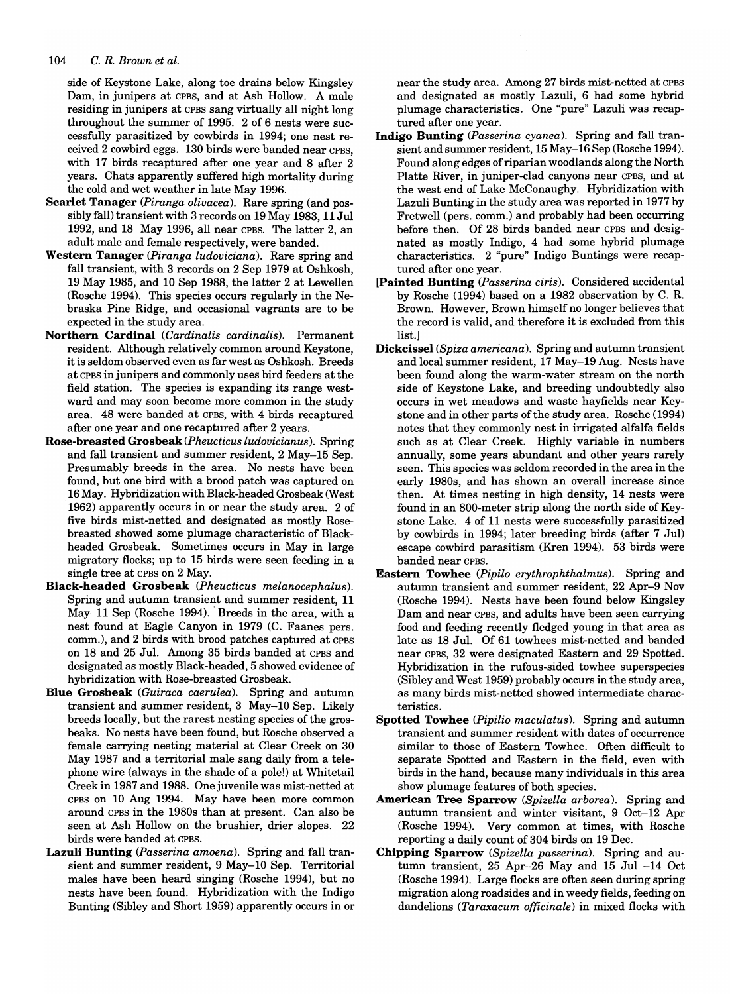side of Keystone Lake, along toe drains below Kingsley Dam, in junipers at CPBS, and at Ash Hollow. A male residing in junipers at CPBS sang virtually all night long throughout the summer of 1995. 2 of 6 nests were successfully parasitized by cowbirds in 1994; one nest received 2 cowbird eggs. 130 birds were banded near CPBS, with 17 birds recaptured after one year and 8 after 2 years. Chats apparently suffered high mortality during the cold and wet weather in late May 1996.

- Scarlet Tanager *(Piranga olivacea).* Rare spring (and possibly fall) transient with 3 records on 19 May 1983, 11 Jul 1992, and 18 May 1996, all near CPBS. The latter 2, an adult male and female respectively, were banded.
- Western Tanager *(Piranga ludoviciana).* Rare spring and fall transient, with 3 records on 2 Sep 1979 at Oshkosh, 19 May 1985, and 10 Sep 1988, the latter 2 at Lewellen (Rosche 1994). This species occurs regularly in the Nebraska Pine Ridge, and occasional vagrants are to be expected in the study area.
- Northern Cardinal *(Cardinalis cardinalis).* Permanent resident. Although relatively common around Keystone, it is seldom observed even as far west as Oshkosh. Breeds at CPBS in junipers and commonly uses bird feeders at the field station. The species is expanding its range westward and may soon become more common in the study area. 48 were banded at CPBS, with 4 birds recaptured after one year and one recaptured after 2 years.
- Rose-breasted Grosbeak *(Pheucticus ludovicianus).* Spring and fall transient and summer resident, 2 May-15 Sep. Presumably breeds in the area. No nests have been found, but one bird with a brood patch was captured on 16 May. Hybridization with Black-headed Grosbeak (West 1962) apparently occurs in or near the study area. 2 of five birds mist-netted and designated as mostly Rosebreasted showed some plumage characteristic of Blackheaded Grosbeak. Sometimes occurs in May in large migratory flocks; up to 15 birds were seen feeding in a single tree at CPBS on 2 May.
- Black-headed Grosbeak *(Pheucticus melanocephalus).*  Spring and autumn transient and summer resident, 11 May-11 Sep (Rosche 1994). Breeds in the area, with a nest found at Eagle Canyon in 1979 (C. Faanes pers. comm.), and 2 birds with brood patches captured at CPBS on 18 and 25 Jul. Among 35 birds banded at CPBS and designated as mostly Black-headed, 5 showed evidence of hybridization with Rose-breasted Grosbeak.
- Blue Grosbeak *(Guiraca caerulea).* Spring and autumn transient and summer resident, 3 May-10 Sep. Likely breeds locally, but the rarest nesting species of the grosbeaks. No nests have been found, but Rosche observed a female carrying nesting material at Clear Creek on 30 May 1987 and a territorial male sang daily from a telephone wire (always in the shade of a pole!) at Whitetail Creek in 1987 and 1988. One juvenile was mist-netted at CPBS on 10 Aug 1994. May have been more common around CPBS in the 1980s than at present. Can also be seen at Ash Hollow on the brushier, drier slopes. 22 birds were banded at CPBS.
- Lazuli Bunting *(Passerina amoena).* Spring and fall transient and summer resident, 9 May-10 Sep. Territorial males have been heard singing (Rosche 1994), but no nests have been found. Hybridization with the Indigo Bunting (Sibley and Short 1959) apparently occurs in or

near the study area. Among 27 birds mist-netted at CPBS and designated as mostly Lazuli, 6 had some hybrid plumage characteristics. One "pure" Lazuli was recaptured after one year.

- Indigo Bunting *(Passerina cyanea).* Spring and fall transient and summer resident, 15 May-16 Sep (Rosche 1994). Found along edges of riparian woodlands along the North Platte River, in juniper-clad canyons near CPBS, and at the west end of Lake McConaughy. Hybridization with Lazuli Bunting in the study area was reported in 1977 by Fretwell (pers. comm.) and probably had been occurring before then. Of 28 birds banded near CPBS and designated as mostly Indigo, 4 had some hybrid plumage characteristics. 2 "pure" Indigo Buntings were recaptured after one year.
- [Painted Bunting *(Passerina ciris).* Considered accidental by Rosche (1994) based on a 1982 observation by C. R. Brown. However, Brown himself no longer believes that the record is valid, and therefore it is excluded from this list.]
- Dickcissel *(Spiza americana).* Spring and autumn transient and local summer resident, 17 May-19 Aug. Nests have been found along the warm-water stream on the north side of Keystone Lake, and breeding undoubtedly also occurs in wet meadows and waste hayfields near Keystone and in other parts of the study area. Rosche (1994) notes that they commonly nest in irrigated alfalfa fields such as at Clear Creek. Highly variable in numbers annually, some years abundant and other years rarely seen. This species was seldom recorded in the area in the early 1980s, and has shown an overall increase since then. At times nesting in high density, 14 nests were found in an 800-meter strip along the north side of Keystone Lake. 4 of 11 nests were successfully parasitized by cowbirds in 1994; later breeding birds (after 7 Jul) escape cowbird parasitism (Kren 1994). 53 birds were banded near CPBS.
- Eastern Towhee *(Pipilo erythrophthalmus).* Spring and autumn transient and summer resident, 22 Apr-9 Nov (Rosche 1994). Nests have been found below Kingsley Dam and near CPBS, and adults have been seen carrying food and feeding recently fledged young in that area as late as 18 Jul. Of 61 towhees mist-netted and banded near CPBS, 32 were designated Eastern and 29 Spotted. Hybridization in the rufous-sided towhee superspecies (Sibley and West 1959) probably occurs in the study area, as many birds mist-netted showed intermediate characteristics.
- Spotted Towhee *(Pipilio maculatus).* Spring and autumn transient and summer resident with dates of occurrence similar to those of Eastern Towhee. Often difficult to separate Spotted and Eastern in the field, even with birds in the hand, because many individuals in this area show plumage features of both species.
- American Tree Sparrow *(Spizella arborea).* Spring and autumn transient and winter visitant, 9 Oct-12 Apr (Rosche 1994). Very common at times, with Rosche reporting a daily count of 304 birds on 19 Dec.
- Chipping Sparrow *(Spizella passerina).* Spring and autumn transient, 25 Apr-26 May and 15 Jul -14 Oct (Rosche 1994). Large flocks are often seen during spring migration along roadsides and in weedy fields, feeding on dandelions *(Taraxacum officinale)* in mixed flocks with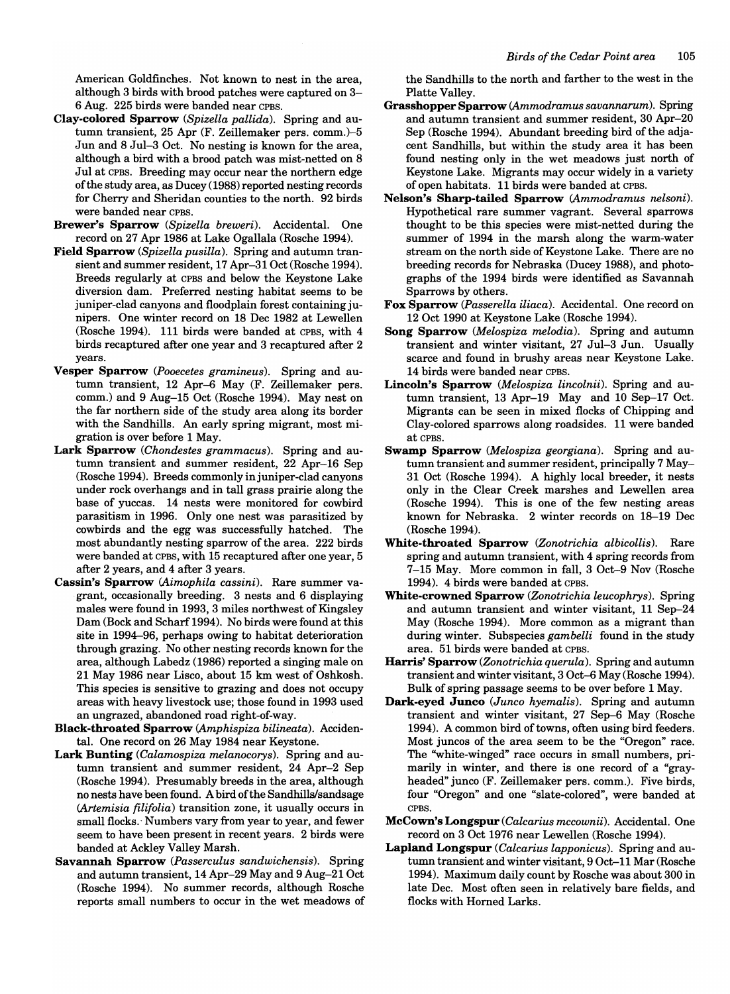American Goldfinches. Not known to nest in the area, although 3 birds with brood patches were captured on 3- 6 Aug. 225 birds were banded near CPBS.

- Clay-colored Sparrow *(Spizella pallida).* Spring and autumn transient, 25 Apr (F. Zeillemaker pers. comm.)-5 Jun and 8 Jul-3 Oct. No nesting is known for the area, although a bird with a brood patch was mist-netted on 8 Jul at CPBS. Breeding may occur near the northern edge of the study area, as Ducey (1988) reported nesting records for Cherry and Sheridan counties to the north. 92 birds were banded near CPBS.
- Brewer's Sparrow *(Spizella breweri).* Accidental. One record on 27 Apr 1986 at Lake Ogallala (Rosche 1994).
- Field Sparrow *(Spizella pusilla).* Spring and autumn transient and summer resident, 17 Apr-31 Oct (Rosche 1994). Breeds regularly at CPBS and below the Keystone Lake diversion dam. Preferred nesting habitat seems to be juniper-clad canyons and floodplain forest containing junipers. One winter record on 18 Dec 1982 at Lewellen (Rosche 1994). 111 birds were banded at CPBS, with 4 birds recaptured after one year and 3 recaptured after 2 years.
- Vesper Sparrow *(Pooecetes gramineus).* Spring and autumn transient, 12 Apr-6 May (F. Zeillemaker pers. comm.) and 9 Aug-15 Oct (Rosche 1994). May nest on the far northern side of the study area along its border with the Sandhills. An early spring migrant, most migration is over before 1 May.
- Lark Sparrow *(Chondestes grammacus).* Spring and autumn transient and summer resident, 22 Apr-16 Sep (Rosche 1994). Breeds commonly in juniper-clad canyons under rock overhangs and in tall grass prairie along the base of yuccas. 14 nests were monitored for cowbird parasitism in 1996. Only one nest was parasitized by cowbirds and the egg was successfully hatched. The most abundantly nesting sparrow of the area. 222 birds were banded at CPBS, with 15 recaptured after one year, 5 after 2 years, and 4 after 3 years.
- Cassin's Sparrow *(Aimophila cassini).* Rare summer vagrant, occasionally breeding. 3 nests and 6 displaying males were found in 1993, 3 miles northwest of Kingsley Dam (Bock and Scharf 1994). No birds were found at this site in 1994-96, perhaps owing to habitat deterioration through grazing. No other nesting records known for the area, although Labedz (1986) reported a singing male on 21 May 1986 near Lisco, about 15 km west of Oshkosh. This species is sensitive to grazing and does not occupy areas with heavy livestock use; those found in 1993 used an ungrazed, abandoned road right-of-way.
- Black-throated Sparrow *(Amphispiza bilineata).* Accidental. One record on 26 May 1984 near Keystone.
- Lark Bunting *(Calamospiza melanocorys).* Spring and autumn transient and summer resident, 24 Apr-2 Sep (Rosche 1994). Presumably breeds in the area, although no nests have been found. A bird of the Sandhills/sandsage *(Artemisia filifolia)* transition zone, it usually occurs in small flocks.' Numbers vary from year to year, and fewer seem to have been present in recent years. 2 birds were banded at Ackley Valley Marsh.
- Savannah Sparrow *(Passerculus sandwichensis).* Spring and autumn transient, 14 Apr-29 May and 9 Aug-21 Oct (Rosche 1994). No summer records, although Rosche reports small numbers to occur in the wet meadows of

the Sandhills to the north and farther to the west in the Platte Valley.

- Grasshopper Sparrow *(Ammodramus savannarum).* Spring and autumn transient and summer resident, 30 Apr-20 Sep (Rosche 1994). Abundant breeding bird of the adjacent Sandhills, but within the study area it has been found nesting only in the wet meadows just north of Keystone Lake. Migrants may occur widely in a variety of open habitats. 11 birds were banded at CPBS.
- Nelson's Sharp-tailed Sparrow *(Ammodramus nelsoni).*  Hypothetical rare summer vagrant. Several sparrows thought to be this species were mist-netted during the summer of 1994 in the marsh along the warm-water stream on the north side of Keystone Lake. There are no breeding records for Nebraska (Ducey 1988), and photographs of the 1994 birds were identified as Savannah Sparrows by others.
- Fox Sparrow *(Passerella iliaca).* Accidental. One record on 12 Oct 1990 at Keystone Lake (Rosche 1994).
- Song Sparrow *(Melospiza melodia).* Spring and autumn transient and winter visitant, 27 Jul-3 Jun. Usually scarce and found in brushy areas near Keystone Lake. 14 birds were banded near CPBS.
- Lincoln's Sparrow *(Melospiza lincolnii).* Spring and autumn transient, 13 Apr-19 May and 10 Sep-17 Oct. Migrants can be seen in mixed flocks of Chipping and Clay-colored sparrows along roadsides. 11 were banded at CPBS.
- Swamp Sparrow *(Melospiza georgiana).* Spring and autumn transient and summer resident, principally 7 May-31 Oct (Rosche 1994). A highly local breeder, it nests only in the Clear Creek marshes and Lewellen area (Rosche 1994). This is one of the few nesting areas known for Nebraska. 2 winter records on 18-19 Dec (Rosche 1994).
- White-throated Sparrow *(Zonotrichia albicollis).* Rare spring and autumn transient, with 4 spring records from 7-15 May. More common in fall, 3 Oct-9 Nov (Rosche 1994). 4 birds were banded at CPBS.
- White-crowned Sparrow *(Zonotrichia leucophrys).* Spring and autumn transient and winter visitant, 11 Sep-24 May (Rosche 1994). More common as a migrant than during winter. Subspecies *gam belli* found in the study area. 51 birds were banded at CPBS.
- Harris' Sparrow *(Zonotrichia querula).* Spring and autumn transient and winter visitant, 3 Oct-6 May (Rosche 1994). Bulk of spring passage seems to be over before 1 May.
- Dark-eyed Junco *(Junco hyemalis).* Spring and autumn transient and winter visitant, 27 Sep-6 May (Rosche 1994). A common bird of towns, often using bird feeders. Most juncos of the area seem to be the "Oregon" race. The "white-winged" race occurs in small numbers, primarily in winter, and there is one record of a "grayheaded" junco (F. Zeillemaker pers. comm.). Five birds, four "Oregon" and one "slate-colored", were banded at CPBS.
- McCown's Longspur *(Calcarius mccownii).* Accidental. One record on 3 Oct 1976 near Lewellen (Rosche 1994).
- Lapland Longspur *(Calcarius lapponicus).* Spring and autumn transient and winter visitant, 9 Oct-11 Mar (Rosche 1994). Maximum daily count by Rosche was about 300 in late Dec. Most often seen in relatively bare fields, and flocks with Horned Larks.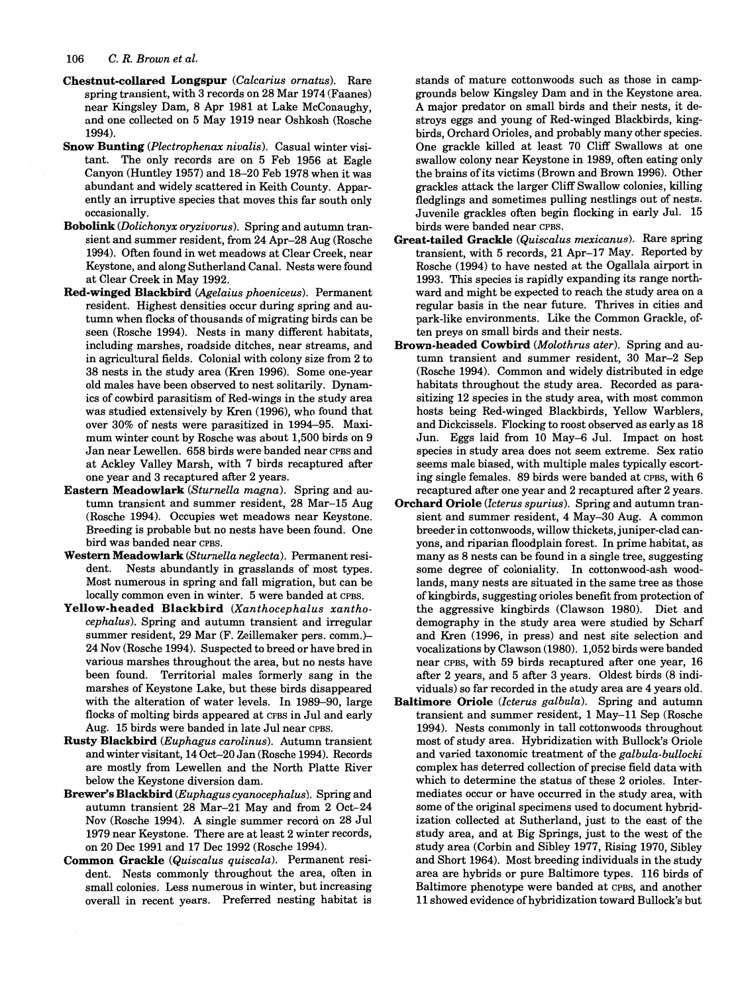- Chestnut-collared Longspur *(Calcarius ornatus).* Rare spring transient, with 3 records on 28 Mar 1974 (Faanes) near Kingsley Dam, 8 Apr 1981 at Lake McConaughy, and one collected on 5 May 1919 near Oshkosh (Rosche 1994).
- Snow Bunting *(Plectrophenax nivalis).* Casual winter visitant. The only records are on 5 Feb 1956 at Eagle Canyon (Huntley 1957) and 18-20 Feb 1978 when it was abundant and widely scattered in Keith County. Apparently an irruptive species that moves this far south only occasionally.
- Bobolink *(Dolichonyx oryzivorus).* Spring and autumn transient and summer resident, from 24 Apr-28 Aug (Rosche 1994). Often found in wet meadows at Clear Creek, near Keystone, and along Sutherland Canal. Nests were found at Clear Creek in May 1992.
- Red-winged Blackbird *(Agelaius phoeniceus).* Permanent resident. Highest densities occur during spring and autumn when flocks of thousands of migrating birds can be seen (Rosche 1994). Nests in many different habitats, including marshes, roadside ditches, near streams, and in agricultural fields. Colonial with colony size from 2 to 38 nests in the study area (Kren 1996). Some one-year old males have been observed to nest solitarily. Dynamics of cowbird parasitism of Red-wings in the study area was studied extensively by Kren (1996), who found that over 30% of nests were parasitized in 1994-95. Maximum winter count by Rosche was about 1,500 birds on 9 Jan near Lewellen. 658 birds were banded near CPBS and at Ackley Valley Marsh, with 7 birds recaptured after one year and 3 recaptured after 2 years.
- Eastern Meadowlark *(Sturnella magna).* Spring and autumn transient and summer resident, 28 Mar-15 Aug (Rosche 1994). Occupies wet meadows near Keystone. Breeding is probable but no nests have been found. One bird was banded near CPBS.
- Western Meadowlark *(Sturnella neglecta).* Permanent resident. Nests abundantly in grasslands of most types. Most numerous in spring and fall migration, but can be locally common even in winter. 5 were banded at CPBS.
- Yellow-headed Blackbird *(Xanthocephalus xanthocephalus).* Spring and autumn transient and irregular summer resident, 29 Mar (F. Zeillemaker pers. comm.)- 24 Nov (Rosche 1994). Suspected to breed or have bred in various marshes throughout the area, but no nests have been found. Territorial males formerly sang in the marshes of Keystone Lake, but these birds disappeared with the alteration of water levels. In 1989-90, large flocks of molting birds appeared at CPBS in Jul and early Aug. 15 birds were banded in late Jul near CPBS.
- Rusty Blackbird *(Euphagus carolinus).* Autumn transient and winter visitant, 14 Oct-20 Jan (Rosche 1994). Records are mostly from Lewellen and the North Platte River below the Keystone diversion dam.
- Brewer's Blackbird *(Euphagus cyanocephalus).* Spring and autumn transient. 28 Mar-21 May and from 2 Oct-24 Nov (Rosche 1994). A single summer record on 28 Jul 1979 near Keystone. There are at least 2 winter records, on 20 Dec 1991 and 17 Dec 1992 (Rosche 1994).
- Common Grackle *(Quiscalus quiscala).* Permanent resident. Nests commonly throughout the area, often in small colonies. Less numerous in winter, but increasing overall in recent years. Preferred nesting habitat is

stands of mature cottonwoods such as those in campgrounds below Kingsley Dam and in the Keystone area. A major predator on small birds and their nests, it destroys eggs and young of Red-winged Blackbirds, kingbirds, Orchard Orioles, and probably many other species. One grackle killed at least 70 Cliff Swallows at one swallow colony near Keystone in 1989, often eating only the brains of its victims (Brown and Brown 1996). Other grackles attack the larger Cliff Swallow colonies, killing fledglings and sometimes pulling nestlings out of nests. Juvenile grackles often begin flocking in early Jul. 15 birds were banded near CPBS.

- Great-tailed Grackle *(Quiscalus mexicanus).* Rare spring transient, with 5 records, 21 Apr-17 May. Reported by Rosche (1994) to have nested at the Ogallala airport in 1993. This species is rapidly expanding its range northward and might be expected to reach the study area on a regular basis in the near future. Thrives in cities and park-like environments. Like the Common Grackle, often preys on small birds and their nests.
- Brown-headed Cowbird *(Molothrus ater).* Spring and autumn transient and summer resident, 30 Mar-2 Sep (Rosche 1994). Common and widely distributed in edge habitats throughout the study area. Recorded as parasitizing 12 species in the study area, with most common hosts being Red-winged Blackbirds, Yellow Warblers, and Dickcissels. Flocking to roost observed as early as 18 Jun. Eggs laid from 10 May-6 Jul. Impact on host species in study area does not seem extreme. Sex ratio seems male biased, with multiple males typically escorting single females. 89 birds were banded at CPBS, with 6 recaptured after one year and 2 recaptured after 2 years.
- Orchard Oriole *(Icterus spurius).* Spring and autumn transient and summer resident, 4 May-30 Aug. A common breeder in cottonwoods, willow thickets, juniper-clad canyons, and riparian floodplain forest. In prime habitat, as many as 8 nests can be found in a single tree, suggesting some degree of coloniality. In cottonwood-ash woodlands, many nests are situated in the same tree as those of king birds, suggesting orioles benefit from protection of the aggressive kingbirds (Clawson 1980). Diet and demography in the study area were studied by Scharf and Kren (1996, in press) and nest site selection and vocalizations by Clawson (1980). 1,052 birds were banded near CPBS, with 59 birds recaptured after one year, 16 after 2 years, and 5 after 3 years. Oldest birds (8 individuals) so farrecorded in the study area are 4 years old.
- Baltimore Oriole *(Icterus galbula).* Spring and autumn transient and summer resident, 1 May-11 Sep (Rosche 1994). Nests commonly in tall cottonwoods throughout most of study area. Hybridization with Bullock's Oriole and varied taxonomic treatment of the *galbula-bullocki*  complex has deterred collection of precise field data with which to determine the status of these 2 orioles. Intermediates occur or have occurred in the study area, with some of the original specimens used to document hybridization collected at Sutherland, just to the east of the study area, and at Big Springs, just to the west of the study area (Corbin and Sibley 1977, Rising 1970, Sibley and Short 1964). Most breeding individuals in the study area are hybrids or pure Baltimore types. 116 birds of Baltimore phenotype were banded at CPBS, and another 11 showed evidence of hybridization toward Bullock's but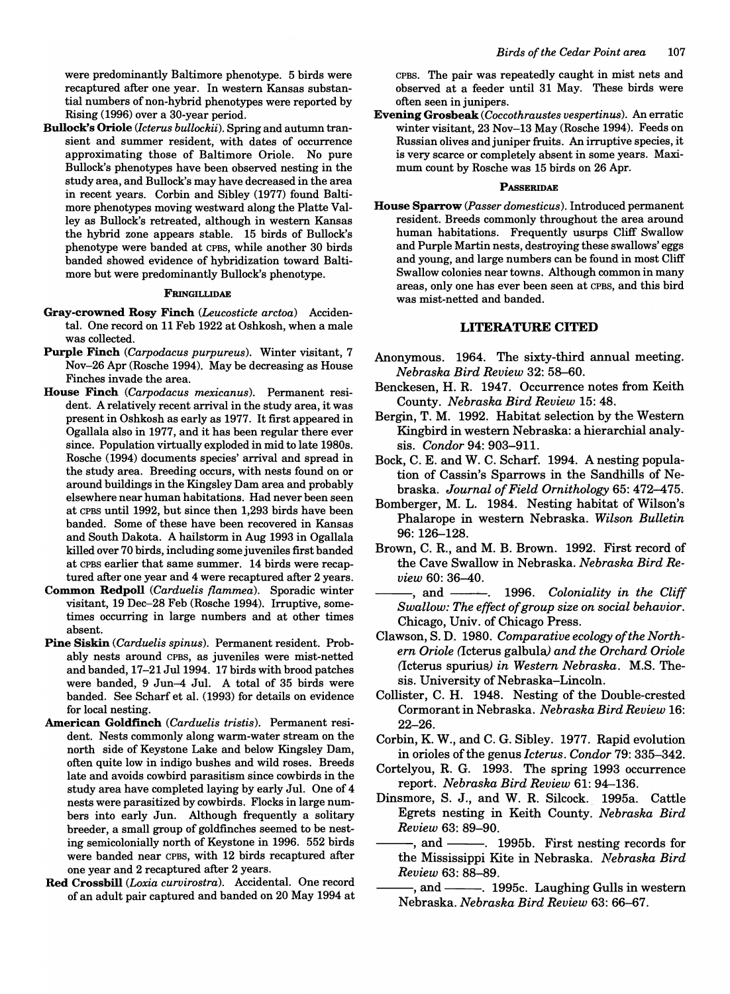were predominantly Baltimore phenotype. 5 birds were recaptured after one year. In western Kansas substantial numbers of non-hybrid phenotypes were reported by Rising (1996) over a 30-year period.

Bullock's Oriole *(Icterus bullockii).* Spring and autumn transient and summer resident, with dates of occurrence approximating those of Baltimore Oriole. No pure Bullock's phenotypes have been observed nesting in the study area, and Bullock's may have decreased in the area in recent years. Corbin and Sibley (1977) found Baltimore phenotypes moving westward along the Platte Valley as Bullock's retreated, although in western Kansas the hybrid zone appears stable. 15 birds of Bullock's phenotype were banded at CPBS, while another 30 birds banded showed evidence of hybridization toward Baltimore but were predominantly Bullock's phenotype.

#### FRINGILLIDAE

- Gray-crowned Rosy Finch *(Leucosticte arctoa)* Accidental. One record on 11 Feb 1922 at Oshkosh, when a male was collected.
- Purple Finch *(Carpodacus purpureus).* Winter visitant, 7 Nov-26 Apr (Rosche 1994). May be decreasing as House Finches invade the area.
- House Finch *(Carpodacus mexicanus).* Permanent resident. A relatively recent arrival in the study area, it was present in Oshkosh as early as 1977. It first appeared in Ogallala also in 1977, and it has been regular there ever since. Population virtually exploded in mid to late 1980s. Rosche (1994) documents species' arrival and spread in the study area. Breeding occurs, with nests found on or around buildings in the Kingsley Dam area and probably elsewhere near human habitations. Had never been seen at CPBS until 1992, but since then 1,293 birds have been banded. Some of these have been recovered in Kansas and South Dakota. A hailstorm in Aug 1993 in Ogallala killed over 70 birds, including some juveniles first banded at CPBS earlier that same summer. 14 birds were recaptured after one year and 4 were recaptured after 2 years.
- Common Redpoll *(Carduelis flammea).* Sporadic winter visitant, 19 Dec-28 Feb (Rosche 1994). Irruptive, sometimes occurring in large numbers and at other times absent.
- Pine Siskin *(Carduelis spinus).* Permanent resident. Probably nests around CPBS, as juveniles were mist-netted and banded, 17-21 Jul 1994. 17 birds with brood patches were banded, 9 Jun-4 Jul. A total of 35 birds were banded. See Scharf et al. (1993) for details on evidence for local nesting.
- American Goldfinch *(Carduelis tristis).* Permanent resident. Nests commonly along warm-water stream on the north side of Keystone Lake and below Kingsley Dam, often quite low in indigo bushes and wild roses. Breeds late and avoids cowbird parasitism since cowbirds in the study area have completed laying by early Jul. One of 4 nests were parasitized by cowbirds. Flocks in large numbers into early Jun. Although frequently a solitary breeder, a small group of goldfinches seemed to be nesting semicolonially north of Keystone in 1996. 552 birds were banded near CPBS, with 12 birds recaptured after one year and 2 recaptured after 2 years.
- Red Crossbill *(Loxia curvirostra).* Accidental. One record of an adult pair captured and banded on 20 May 1994 at

CPBS. The pair was repeatedly caught in mist nets and observed at a feeder until 31 May. These birds were often seen in junipers.

Evening Grosbeak *(Coccothraustes vespertinus).* An erratic winter visitant, 23 Nov-13 May (Rosche 1994). Feeds on Russian olives and juniper fruits. An irruptive species, it is very scarce or completely absent in some years. Maximum count by Rosche was 15 birds on 26 Apr.

## **PASSERIDAE**

House Sparrow (Passer domesticus). Introduced permanent resident. Breeds commonly throughout the area around human habitations. Frequently usurps Cliff Swallow and Purple Martin nests, destroying these swallows' eggs and young, and large numbers can be found in most Cliff Swallow colonies near towns. Although common in many areas, only one has ever been seen at CPBS, and this bird was mist-netted and banded.

## LITERATURE CITED

- Anonymous. 1964. The sixty-third annual meeting. *Nebraska Bird Review* 32: 58-60.
- Benckesen, H. R. 1947. Occurrence notes from Keith County. *Nebraska Bird Review* 15: 48.
- Bergin, T. M. 1992. Habitat selection by the Western Kingbird in western Nebraska: a hierarchial analysis. *Condor* 94: 903-91l.
- Bock, C. E. and W. C. Scharf. 1994. A nesting population of Cassin's Sparrows in the Sandhills of Nebraska. *Journal of Field Ornithology* 65: 472-475.
- Bomberger, M. L. 1984. Nesting habitat of Wilson's Phalarope in western Nebraska. *Wilson Bulletin*  96: 126-128.
- Brown, C. R, and M. B. Brown. 1992. First record of the Cave Swallow in Nebraska. *Nebraska Bird Review* 60: 36-40.
- -, and ---------. 1996. *Coloniality in the Cliff Swallow: The effect of group size on social behavior.*  Chicago, Univ. of Chicago Press.
- Clawson, S. D. 1980. *Comparative ecology of the Northern Oriole* (Icterus galbula) *and the Orchard Oriole*  (Icterus spurius) *in Western Nebraska.* M.S. Thesis. University of Nebraska-Lincoln.
- Collister, C. H. 1948. Nesting of the Double-crested Cormorant in Nebraska. *Nebraska Bird Review 16:*  22-26.
- Corbin, K. W., and C. G. Sibley. 1977. Rapid evolution in orioles of the genus *Icterus. Condor* 79: 335-342.
- Cortelyou, R. G. 1993. The spring 1993 occurrence report. *Nebraska Bird Review* 61: 94-136.
- Dinsmore, S. J., and W. R. Silcock. 1995a. Cattle Egrets nesting in Keith County. *Nebraska Bird Review* 63: 89-90.
	- -, and ———. 1995b. First nesting records for the Mississippi Kite in Nebraska. *Nebraska Bird Review* 63: 88-89.
	- -, and ———. 1995c. Laughing Gulls in western Nebraska. *Nebraska Bird Review* 63: 66-67.